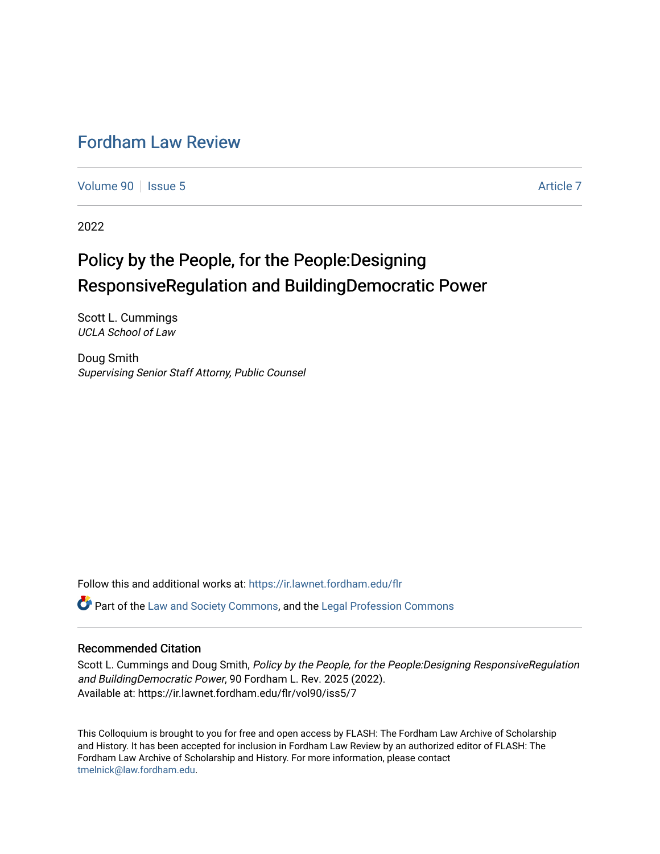# [Fordham Law Review](https://ir.lawnet.fordham.edu/flr)

[Volume 90](https://ir.lawnet.fordham.edu/flr/vol90) | [Issue 5](https://ir.lawnet.fordham.edu/flr/vol90/iss5) Article 7

2022

# Policy by the People, for the People:Designing ResponsiveRegulation and BuildingDemocratic Power

Scott L. Cummings UCLA School of Law

Doug Smith Supervising Senior Staff Attorny, Public Counsel

Follow this and additional works at: [https://ir.lawnet.fordham.edu/flr](https://ir.lawnet.fordham.edu/flr?utm_source=ir.lawnet.fordham.edu%2Fflr%2Fvol90%2Fiss5%2F7&utm_medium=PDF&utm_campaign=PDFCoverPages)

Part of the [Law and Society Commons](http://network.bepress.com/hgg/discipline/853?utm_source=ir.lawnet.fordham.edu%2Fflr%2Fvol90%2Fiss5%2F7&utm_medium=PDF&utm_campaign=PDFCoverPages), and the [Legal Profession Commons](http://network.bepress.com/hgg/discipline/1075?utm_source=ir.lawnet.fordham.edu%2Fflr%2Fvol90%2Fiss5%2F7&utm_medium=PDF&utm_campaign=PDFCoverPages) 

# Recommended Citation

Scott L. Cummings and Doug Smith, Policy by the People, for the People:Designing ResponsiveRegulation and BuildingDemocratic Power, 90 Fordham L. Rev. 2025 (2022). Available at: https://ir.lawnet.fordham.edu/flr/vol90/iss5/7

This Colloquium is brought to you for free and open access by FLASH: The Fordham Law Archive of Scholarship and History. It has been accepted for inclusion in Fordham Law Review by an authorized editor of FLASH: The Fordham Law Archive of Scholarship and History. For more information, please contact [tmelnick@law.fordham.edu](mailto:tmelnick@law.fordham.edu).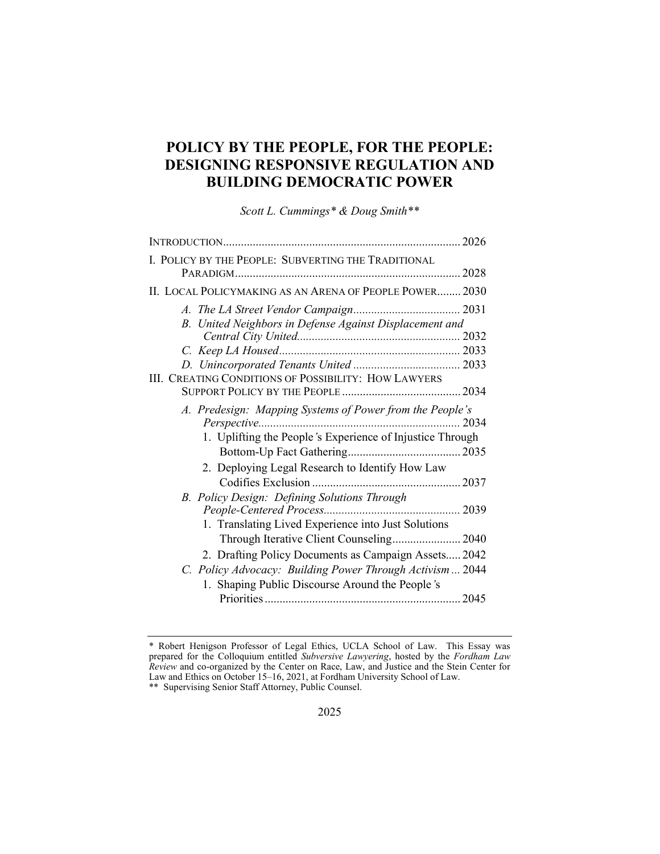# POLICY BY THE PEOPLE, FOR THE PEOPLE: DESIGNING RESPONSIVE REGULATION AND BUILDING DEMOCRATIC POWER

Scott L. Cummings\* & Doug Smith\*\*

| I. POLICY BY THE PEOPLE: SUBVERTING THE TRADITIONAL                                                                   |  |
|-----------------------------------------------------------------------------------------------------------------------|--|
| II. LOCAL POLICYMAKING AS AN ARENA OF PEOPLE POWER 2030                                                               |  |
| B. United Neighbors in Defense Against Displacement and                                                               |  |
|                                                                                                                       |  |
|                                                                                                                       |  |
|                                                                                                                       |  |
| III. CREATING CONDITIONS OF POSSIBILITY: HOW LAWYERS                                                                  |  |
| A. Predesign: Mapping Systems of Power from the People's<br>1. Uplifting the People's Experience of Injustice Through |  |
|                                                                                                                       |  |
| 2. Deploying Legal Research to Identify How Law                                                                       |  |
|                                                                                                                       |  |
| B. Policy Design: Defining Solutions Through                                                                          |  |
| 1. Translating Lived Experience into Just Solutions<br>Through Iterative Client Counseling 2040                       |  |
| 2. Drafting Policy Documents as Campaign Assets 2042                                                                  |  |
| C. Policy Advocacy: Building Power Through Activism 2044                                                              |  |
| 1. Shaping Public Discourse Around the People's                                                                       |  |

<sup>\*</sup> Robert Henigson Professor of Legal Ethics, UCLA School of Law. This Essay was prepared for the Colloquium entitled Subversive Lawyering, hosted by the Fordham Law Review and co-organized by the Center on Race, Law, and Justice and the Stein Center for Law and Ethics on October 15–16, 2021, at Fordham University School of Law.

<sup>\*\*</sup> Supervising Senior Staff Attorney, Public Counsel.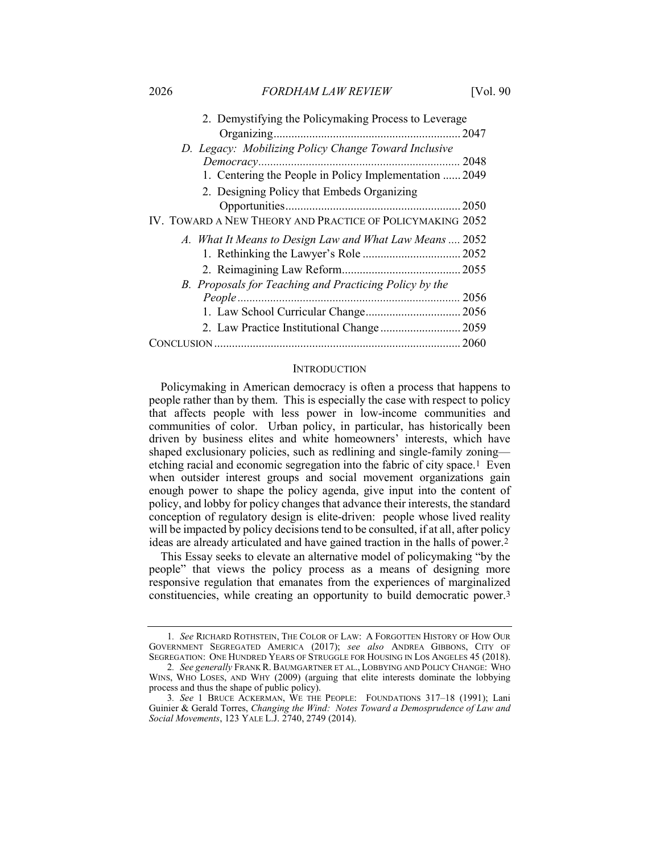| 2. Demystifying the Policymaking Process to Leverage      |      |
|-----------------------------------------------------------|------|
|                                                           | 2047 |
| D. Legacy: Mobilizing Policy Change Toward Inclusive      |      |
| Democracy                                                 | 2048 |
| 1. Centering the People in Policy Implementation  2049    |      |
| 2. Designing Policy that Embeds Organizing                |      |
|                                                           |      |
| IV. TOWARD A NEW THEORY AND PRACTICE OF POLICYMAKING 2052 |      |
| A. What It Means to Design Law and What Law Means  2052   |      |
|                                                           |      |
|                                                           |      |
| B. Proposals for Teaching and Practicing Policy by the    |      |
| People.                                                   | 2056 |
|                                                           |      |
|                                                           |      |
|                                                           |      |
|                                                           |      |

#### **INTRODUCTION**

Policymaking in American democracy is often a process that happens to people rather than by them. This is especially the case with respect to policy that affects people with less power in low-income communities and communities of color. Urban policy, in particular, has historically been driven by business elites and white homeowners' interests, which have shaped exclusionary policies, such as redlining and single-family zoning etching racial and economic segregation into the fabric of city space.1 Even when outsider interest groups and social movement organizations gain enough power to shape the policy agenda, give input into the content of policy, and lobby for policy changes that advance their interests, the standard conception of regulatory design is elite-driven: people whose lived reality will be impacted by policy decisions tend to be consulted, if at all, after policy ideas are already articulated and have gained traction in the halls of power.2

This Essay seeks to elevate an alternative model of policymaking "by the people" that views the policy process as a means of designing more responsive regulation that emanates from the experiences of marginalized constituencies, while creating an opportunity to build democratic power.3

<sup>1</sup>. See RICHARD ROTHSTEIN, THE COLOR OF LAW: A FORGOTTEN HISTORY OF HOW OUR GOVERNMENT SEGREGATED AMERICA (2017); see also ANDREA GIBBONS, CITY OF SEGREGATION: ONE HUNDRED YEARS OF STRUGGLE FOR HOUSING IN LOS ANGELES 45 (2018).

<sup>2.</sup> See generally FRANK R. BAUMGARTNER ET AL., LOBBYING AND POLICY CHANGE: WHO WINS, WHO LOSES, AND WHY (2009) (arguing that elite interests dominate the lobbying process and thus the shape of public policy).

<sup>3</sup>. See 1 BRUCE ACKERMAN, WE THE PEOPLE: FOUNDATIONS 317–18 (1991); Lani Guinier & Gerald Torres, Changing the Wind: Notes Toward a Demosprudence of Law and Social Movements, 123 YALE L.J. 2740, 2749 (2014).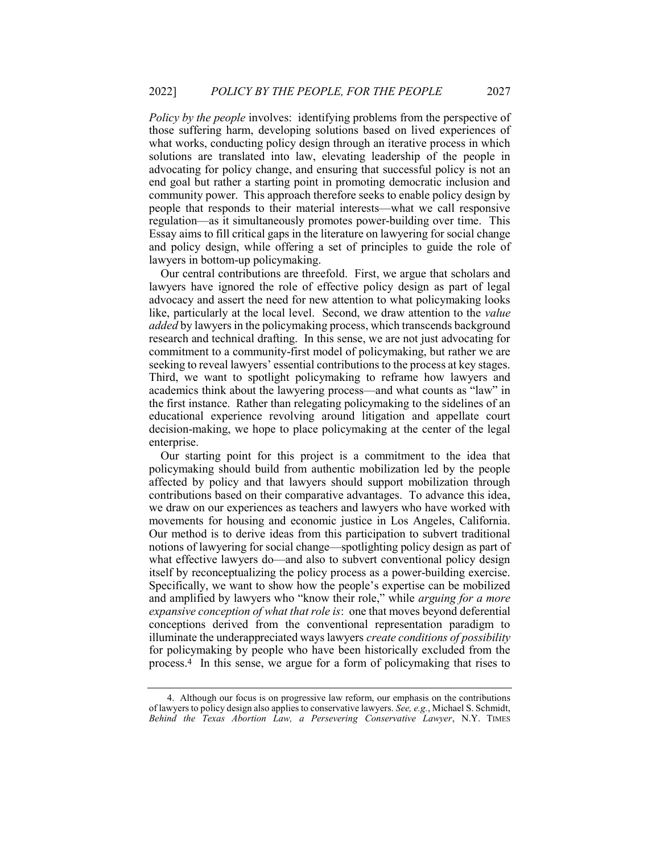Policy by the people involves: identifying problems from the perspective of those suffering harm, developing solutions based on lived experiences of what works, conducting policy design through an iterative process in which solutions are translated into law, elevating leadership of the people in advocating for policy change, and ensuring that successful policy is not an end goal but rather a starting point in promoting democratic inclusion and community power. This approach therefore seeks to enable policy design by people that responds to their material interests—what we call responsive regulation—as it simultaneously promotes power-building over time. This Essay aims to fill critical gaps in the literature on lawyering for social change and policy design, while offering a set of principles to guide the role of lawyers in bottom-up policymaking.

Our central contributions are threefold. First, we argue that scholars and lawyers have ignored the role of effective policy design as part of legal advocacy and assert the need for new attention to what policymaking looks like, particularly at the local level. Second, we draw attention to the *value* added by lawyers in the policymaking process, which transcends background research and technical drafting. In this sense, we are not just advocating for commitment to a community-first model of policymaking, but rather we are seeking to reveal lawyers' essential contributions to the process at key stages. Third, we want to spotlight policymaking to reframe how lawyers and academics think about the lawyering process—and what counts as "law" in the first instance. Rather than relegating policymaking to the sidelines of an educational experience revolving around litigation and appellate court decision-making, we hope to place policymaking at the center of the legal enterprise.

Our starting point for this project is a commitment to the idea that policymaking should build from authentic mobilization led by the people affected by policy and that lawyers should support mobilization through contributions based on their comparative advantages. To advance this idea, we draw on our experiences as teachers and lawyers who have worked with movements for housing and economic justice in Los Angeles, California. Our method is to derive ideas from this participation to subvert traditional notions of lawyering for social change—spotlighting policy design as part of what effective lawyers do—and also to subvert conventional policy design itself by reconceptualizing the policy process as a power-building exercise. Specifically, we want to show how the people's expertise can be mobilized and amplified by lawyers who "know their role," while arguing for a more expansive conception of what that role is: one that moves beyond deferential conceptions derived from the conventional representation paradigm to illuminate the underappreciated ways lawyers create conditions of possibility for policymaking by people who have been historically excluded from the process.4 In this sense, we argue for a form of policymaking that rises to

 <sup>4.</sup> Although our focus is on progressive law reform, our emphasis on the contributions of lawyers to policy design also applies to conservative lawyers. See, e.g., Michael S. Schmidt, Behind the Texas Abortion Law, a Persevering Conservative Lawyer, N.Y. TIMES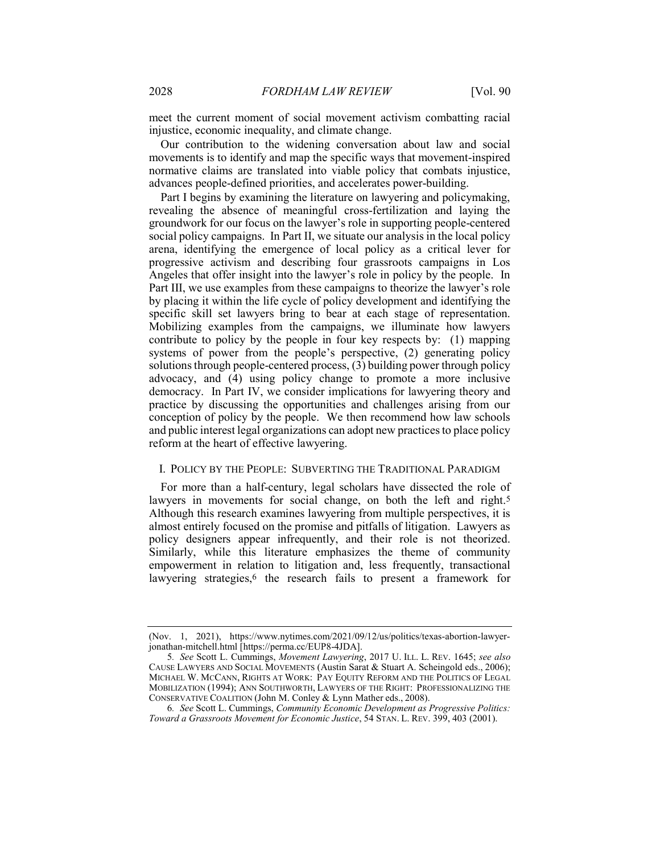meet the current moment of social movement activism combatting racial injustice, economic inequality, and climate change.

Our contribution to the widening conversation about law and social movements is to identify and map the specific ways that movement-inspired normative claims are translated into viable policy that combats injustice, advances people-defined priorities, and accelerates power-building.

Part I begins by examining the literature on lawyering and policymaking, revealing the absence of meaningful cross-fertilization and laying the groundwork for our focus on the lawyer's role in supporting people-centered social policy campaigns. In Part II, we situate our analysis in the local policy arena, identifying the emergence of local policy as a critical lever for progressive activism and describing four grassroots campaigns in Los Angeles that offer insight into the lawyer's role in policy by the people. In Part III, we use examples from these campaigns to theorize the lawyer's role by placing it within the life cycle of policy development and identifying the specific skill set lawyers bring to bear at each stage of representation. Mobilizing examples from the campaigns, we illuminate how lawyers contribute to policy by the people in four key respects by: (1) mapping systems of power from the people's perspective, (2) generating policy solutions through people-centered process, (3) building power through policy advocacy, and (4) using policy change to promote a more inclusive democracy. In Part IV, we consider implications for lawyering theory and practice by discussing the opportunities and challenges arising from our conception of policy by the people. We then recommend how law schools and public interest legal organizations can adopt new practices to place policy reform at the heart of effective lawyering.

#### I. POLICY BY THE PEOPLE: SUBVERTING THE TRADITIONAL PARADIGM

For more than a half-century, legal scholars have dissected the role of lawyers in movements for social change, on both the left and right.<sup>5</sup> Although this research examines lawyering from multiple perspectives, it is almost entirely focused on the promise and pitfalls of litigation. Lawyers as policy designers appear infrequently, and their role is not theorized. Similarly, while this literature emphasizes the theme of community empowerment in relation to litigation and, less frequently, transactional lawyering strategies,<sup>6</sup> the research fails to present a framework for

<sup>(</sup>Nov. 1, 2021), https://www.nytimes.com/2021/09/12/us/politics/texas-abortion-lawyerjonathan-mitchell.html [https://perma.cc/EUP8-4JDA].

<sup>5.</sup> See Scott L. Cummings, Movement Lawyering, 2017 U. ILL. L. REV. 1645; see also CAUSE LAWYERS AND SOCIAL MOVEMENTS (Austin Sarat & Stuart A. Scheingold eds., 2006); MICHAEL W. MCCANN, RIGHTS AT WORK: PAY EQUITY REFORM AND THE POLITICS OF LEGAL MOBILIZATION (1994); ANN SOUTHWORTH, LAWYERS OF THE RIGHT: PROFESSIONALIZING THE CONSERVATIVE COALITION (John M. Conley & Lynn Mather eds., 2008).

<sup>6</sup>. See Scott L. Cummings, Community Economic Development as Progressive Politics: Toward a Grassroots Movement for Economic Justice, 54 STAN. L. REV. 399, 403 (2001).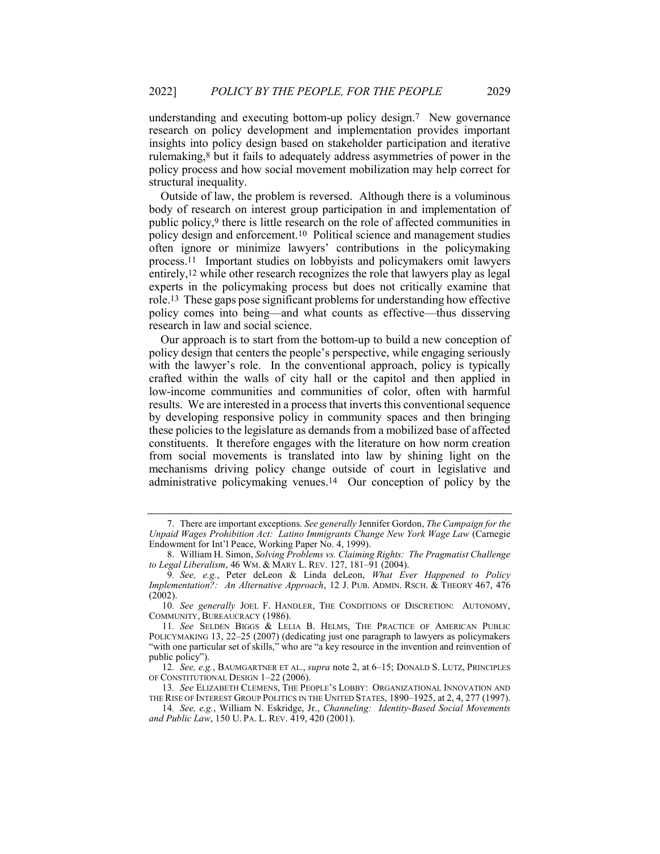understanding and executing bottom-up policy design.7 New governance research on policy development and implementation provides important insights into policy design based on stakeholder participation and iterative rulemaking,8 but it fails to adequately address asymmetries of power in the policy process and how social movement mobilization may help correct for structural inequality.

Outside of law, the problem is reversed. Although there is a voluminous body of research on interest group participation in and implementation of public policy,9 there is little research on the role of affected communities in policy design and enforcement.10 Political science and management studies often ignore or minimize lawyers' contributions in the policymaking process.11 Important studies on lobbyists and policymakers omit lawyers entirely,12 while other research recognizes the role that lawyers play as legal experts in the policymaking process but does not critically examine that role.13 These gaps pose significant problems for understanding how effective policy comes into being—and what counts as effective—thus disserving research in law and social science.

Our approach is to start from the bottom-up to build a new conception of policy design that centers the people's perspective, while engaging seriously with the lawyer's role. In the conventional approach, policy is typically crafted within the walls of city hall or the capitol and then applied in low-income communities and communities of color, often with harmful results. We are interested in a process that inverts this conventional sequence by developing responsive policy in community spaces and then bringing these policies to the legislature as demands from a mobilized base of affected constituents. It therefore engages with the literature on how norm creation from social movements is translated into law by shining light on the mechanisms driving policy change outside of court in legislative and administrative policymaking venues.14 Our conception of policy by the

 <sup>7.</sup> There are important exceptions. See generally Jennifer Gordon, The Campaign for the Unpaid Wages Prohibition Act: Latino Immigrants Change New York Wage Law (Carnegie Endowment for Int'l Peace, Working Paper No. 4, 1999).

<sup>8.</sup> William H. Simon, Solving Problems vs. Claiming Rights: The Pragmatist Challenge to Legal Liberalism, 46 WM. & MARY L. REV. 127, 181-91 (2004).

<sup>9.</sup> See, e.g., Peter deLeon & Linda deLeon, What Ever Happened to Policy Implementation?: An Alternative Approach, 12 J. PUB. ADMIN. RSCH. & THEORY 467, 476  $(2002)$ .

<sup>10.</sup> See generally JOEL F. HANDLER, THE CONDITIONS OF DISCRETION: AUTONOMY, COMMUNITY, BUREAUCRACY (1986).

<sup>11</sup>. See SELDEN BIGGS & LELIA B. HELMS, THE PRACTICE OF AMERICAN PUBLIC POLICYMAKING 13, 22–25 (2007) (dedicating just one paragraph to lawyers as policymakers "with one particular set of skills," who are "a key resource in the invention and reinvention of public policy").

<sup>12.</sup> See, e.g., BAUMGARTNER ET AL., supra note 2, at 6–15; DONALD S. LUTZ, PRINCIPLES OF CONSTITUTIONAL DESIGN 1–22 (2006).

<sup>13</sup>. See ELIZABETH CLEMENS, THE PEOPLE'S LOBBY: ORGANIZATIONAL INNOVATION AND THE RISE OF INTEREST GROUP POLITICS IN THE UNITED STATES, 1890–1925, at 2, 4, 277 (1997).

<sup>14</sup>. See, e.g., William N. Eskridge, Jr., Channeling: Identity-Based Social Movements and Public Law, 150 U. PA. L. REV. 419, 420 (2001).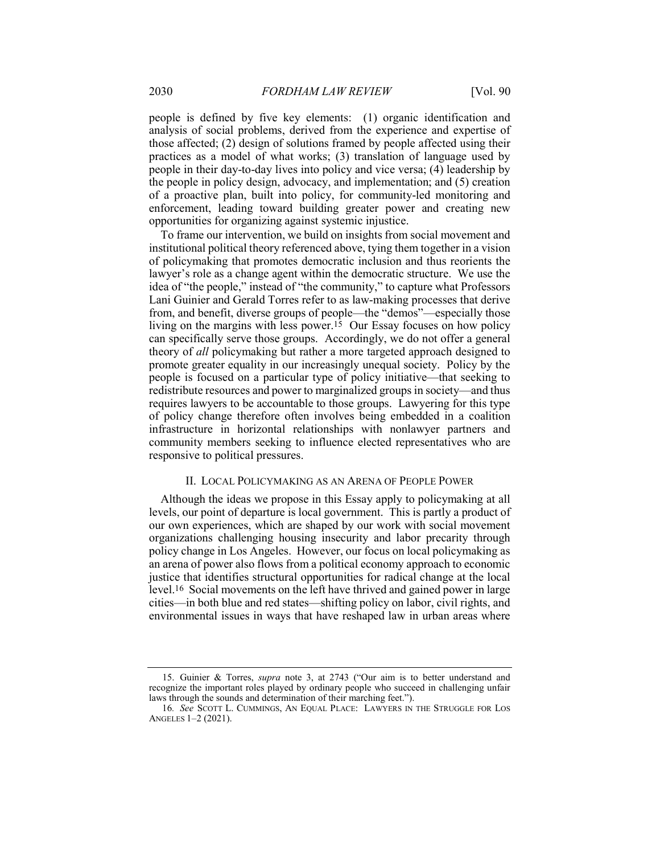people is defined by five key elements: (1) organic identification and analysis of social problems, derived from the experience and expertise of those affected; (2) design of solutions framed by people affected using their practices as a model of what works; (3) translation of language used by people in their day-to-day lives into policy and vice versa; (4) leadership by the people in policy design, advocacy, and implementation; and (5) creation of a proactive plan, built into policy, for community-led monitoring and enforcement, leading toward building greater power and creating new opportunities for organizing against systemic injustice.

To frame our intervention, we build on insights from social movement and institutional political theory referenced above, tying them together in a vision of policymaking that promotes democratic inclusion and thus reorients the lawyer's role as a change agent within the democratic structure. We use the idea of "the people," instead of "the community," to capture what Professors Lani Guinier and Gerald Torres refer to as law-making processes that derive from, and benefit, diverse groups of people—the "demos"—especially those living on the margins with less power.15 Our Essay focuses on how policy can specifically serve those groups. Accordingly, we do not offer a general theory of all policymaking but rather a more targeted approach designed to promote greater equality in our increasingly unequal society. Policy by the people is focused on a particular type of policy initiative—that seeking to redistribute resources and power to marginalized groups in society—and thus requires lawyers to be accountable to those groups. Lawyering for this type of policy change therefore often involves being embedded in a coalition infrastructure in horizontal relationships with nonlawyer partners and community members seeking to influence elected representatives who are responsive to political pressures.

#### II. LOCAL POLICYMAKING AS AN ARENA OF PEOPLE POWER

Although the ideas we propose in this Essay apply to policymaking at all levels, our point of departure is local government. This is partly a product of our own experiences, which are shaped by our work with social movement organizations challenging housing insecurity and labor precarity through policy change in Los Angeles. However, our focus on local policymaking as an arena of power also flows from a political economy approach to economic justice that identifies structural opportunities for radical change at the local level.16 Social movements on the left have thrived and gained power in large cities—in both blue and red states—shifting policy on labor, civil rights, and environmental issues in ways that have reshaped law in urban areas where

 <sup>15.</sup> Guinier & Torres, supra note 3, at 2743 ("Our aim is to better understand and recognize the important roles played by ordinary people who succeed in challenging unfair laws through the sounds and determination of their marching feet.").

<sup>16</sup>. See SCOTT L. CUMMINGS, AN EQUAL PLACE: LAWYERS IN THE STRUGGLE FOR LOS ANGELES 1–2 (2021).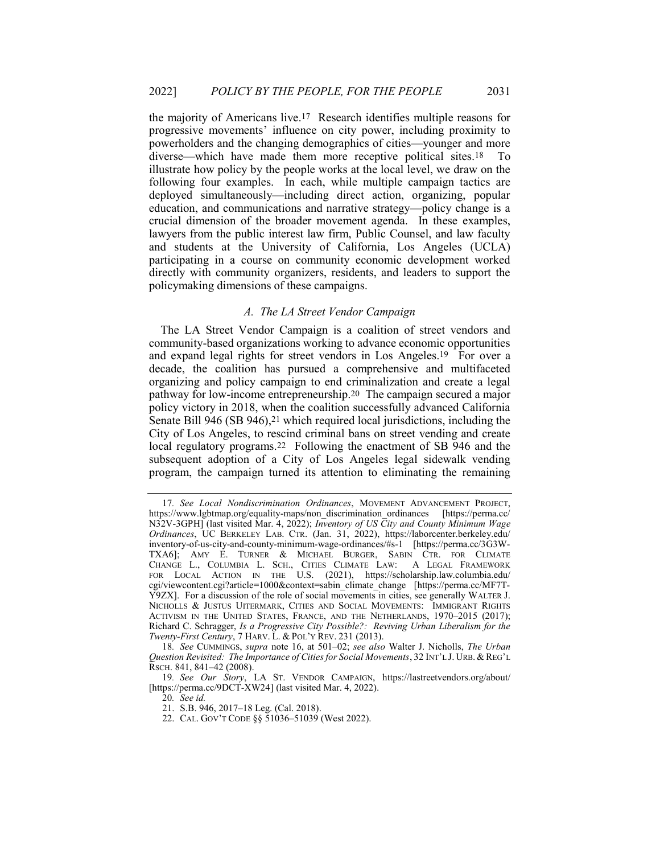the majority of Americans live.17 Research identifies multiple reasons for progressive movements' influence on city power, including proximity to powerholders and the changing demographics of cities—younger and more diverse—which have made them more receptive political sites.18 To illustrate how policy by the people works at the local level, we draw on the following four examples. In each, while multiple campaign tactics are deployed simultaneously—including direct action, organizing, popular education, and communications and narrative strategy—policy change is a crucial dimension of the broader movement agenda. In these examples, lawyers from the public interest law firm, Public Counsel, and law faculty and students at the University of California, Los Angeles (UCLA) participating in a course on community economic development worked directly with community organizers, residents, and leaders to support the policymaking dimensions of these campaigns.

#### A. The LA Street Vendor Campaign

The LA Street Vendor Campaign is a coalition of street vendors and community-based organizations working to advance economic opportunities and expand legal rights for street vendors in Los Angeles.19 For over a decade, the coalition has pursued a comprehensive and multifaceted organizing and policy campaign to end criminalization and create a legal pathway for low-income entrepreneurship.20 The campaign secured a major policy victory in 2018, when the coalition successfully advanced California Senate Bill 946 (SB 946),<sup>21</sup> which required local jurisdictions, including the City of Los Angeles, to rescind criminal bans on street vending and create local regulatory programs.22 Following the enactment of SB 946 and the subsequent adoption of a City of Los Angeles legal sidewalk vending program, the campaign turned its attention to eliminating the remaining

<sup>17</sup>. See Local Nondiscrimination Ordinances, MOVEMENT ADVANCEMENT PROJECT, https://www.lgbtmap.org/equality-maps/non\_discrimination\_ordinances [https://perma.cc/ N32V-3GPH] (last visited Mar. 4, 2022); Inventory of US City and County Minimum Wage Ordinances, UC BERKELEY LAB. CTR. (Jan. 31, 2022), https://laborcenter.berkeley.edu/ inventory-of-us-city-and-county-minimum-wage-ordinances/#s-1 [https://perma.cc/3G3W-TXA6]; AMY E. TURNER & MICHAEL BURGER, SABIN CTR. FOR CLIMATE CHANGE L., COLUMBIA L. SCH., CITIES CLIMATE LAW: A LEGAL FRAMEWORK FOR LOCAL ACTION IN THE U.S. (2021), https://scholarship.law.columbia.edu/ cgi/viewcontent.cgi?article=1000&context=sabin\_climate\_change [https://perma.cc/MF7T-Y9ZX]. For a discussion of the role of social movements in cities, see generally WALTER J. NICHOLLS & JUSTUS UITERMARK, CITIES AND SOCIAL MOVEMENTS: IMMIGRANT RIGHTS ACTIVISM IN THE UNITED STATES, FRANCE, AND THE NETHERLANDS, 1970–2015 (2017); Richard C. Schragger, Is a Progressive City Possible?: Reviving Urban Liberalism for the Twenty-First Century, 7 HARV. L. & POL'Y REV. 231 (2013).

<sup>18</sup>. See CUMMINGS, supra note 16, at 501–02; see also Walter J. Nicholls, The Urban Question Revisited: The Importance of Cities for Social Movements, 32 INT'L J. URB. & REG'L RSCH. 841, 841–42 (2008).

<sup>19</sup>. See Our Story, LA ST. VENDOR CAMPAIGN, https://lastreetvendors.org/about/ [https://perma.cc/9DCT-XW24] (last visited Mar. 4, 2022).

<sup>20</sup>. See id.

 <sup>21.</sup> S.B. 946, 2017–18 Leg. (Cal. 2018).

 <sup>22.</sup> CAL. GOV'T CODE §§ 51036–51039 (West 2022).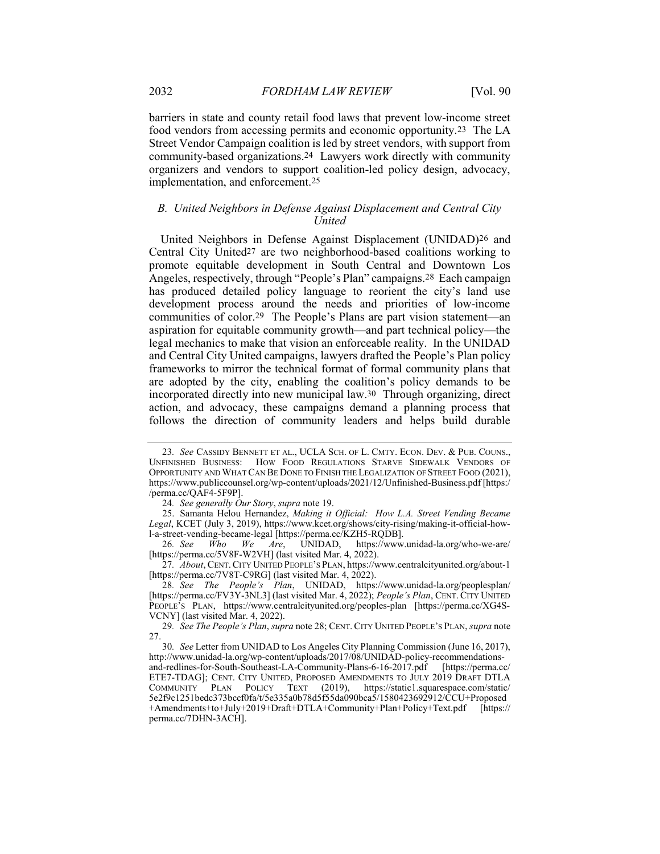barriers in state and county retail food laws that prevent low-income street food vendors from accessing permits and economic opportunity.23 The LA Street Vendor Campaign coalition is led by street vendors, with support from community-based organizations.24 Lawyers work directly with community organizers and vendors to support coalition-led policy design, advocacy, implementation, and enforcement.25

# B. United Neighbors in Defense Against Displacement and Central City United

United Neighbors in Defense Against Displacement (UNIDAD)26 and Central City United27 are two neighborhood-based coalitions working to promote equitable development in South Central and Downtown Los Angeles, respectively, through "People's Plan" campaigns.28 Each campaign has produced detailed policy language to reorient the city's land use development process around the needs and priorities of low-income communities of color.29 The People's Plans are part vision statement—an aspiration for equitable community growth—and part technical policy—the legal mechanics to make that vision an enforceable reality. In the UNIDAD and Central City United campaigns, lawyers drafted the People's Plan policy frameworks to mirror the technical format of formal community plans that are adopted by the city, enabling the coalition's policy demands to be incorporated directly into new municipal law.30 Through organizing, direct action, and advocacy, these campaigns demand a planning process that follows the direction of community leaders and helps build durable

27. About, CENT.CITY UNITED PEOPLE'S PLAN, https://www.centralcityunited.org/about-1 [https://perma.cc/7V8T-C9RG] (last visited Mar. 4, 2022).

28. See The People's Plan, UNIDAD, https://www.unidad-la.org/peoplesplan/ [https://perma.cc/FV3Y-3NL3] (last visited Mar. 4, 2022); People's Plan, CENT. CITY UNITED PEOPLE'S PLAN, https://www.centralcityunited.org/peoples-plan [https://perma.cc/XG4S-VCNY] (last visited Mar. 4, 2022).

29. See The People's Plan, supra note 28; CENT. CITY UNITED PEOPLE'S PLAN, supra note 27.

<sup>23</sup>. See CASSIDY BENNETT ET AL., UCLA SCH. OF L. CMTY. ECON. DEV. & PUB. COUNS., UNFINISHED BUSINESS: HOW FOOD REGULATIONS STARVE SIDEWALK VENDORS OF OPPORTUNITY AND WHAT CAN BE DONE TO FINISH THE LEGALIZATION OF STREET FOOD (2021), https://www.publiccounsel.org/wp-content/uploads/2021/12/Unfinished-Business.pdf [https:/ /perma.cc/QAF4-5F9P].

<sup>24</sup>. See generally Our Story, supra note 19.

<sup>25.</sup> Samanta Helou Hernandez, Making it Official: How L.A. Street Vending Became Legal, KCET (July 3, 2019), https://www.kcet.org/shows/city-rising/making-it-official-howl-a-street-vending-became-legal [https://perma.cc/KZH5-RQDB].<br>26. See Who We Are, UNIDAD, https://www.unidad-la.org/who-we-are/

<sup>26.</sup> See Who We Are, UNIDAD, [https://perma.cc/5V8F-W2VH] (last visited Mar. 4, 2022).

<sup>30</sup>. See Letter from UNIDAD to Los Angeles City Planning Commission (June 16, 2017), http://www.unidad-la.org/wp-content/uploads/2017/08/UNIDAD-policy-recommendationsand-redlines-for-South-Southeast-LA-Community-Plans-6-16-2017.pdf [https://perma.cc/ ETE7-TDAG]; CENT. CITY UNITED, PROPOSED AMENDMENTS TO JULY 2019 DRAFT DTLA COMMUNITY PLAN POLICY TEXT (2019), https://static1.squarespace.com/static/ 5e2f9c1251bedc373bccf0fa/t/5e335a0b78d5f55da090bca5/1580423692912/CCU+Proposed +Amendments+to+July+2019+Draft+DTLA+Community+Plan+Policy+Text.pdf [https:// perma.cc/7DHN-3ACH].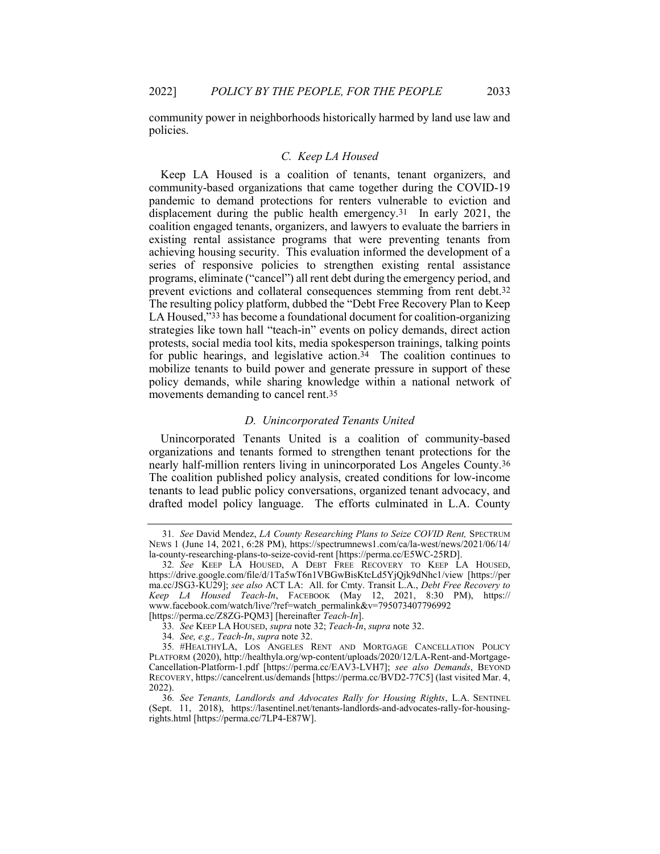community power in neighborhoods historically harmed by land use law and policies.

#### C. Keep LA Housed

Keep LA Housed is a coalition of tenants, tenant organizers, and community-based organizations that came together during the COVID-19 pandemic to demand protections for renters vulnerable to eviction and displacement during the public health emergency.31 In early 2021, the coalition engaged tenants, organizers, and lawyers to evaluate the barriers in existing rental assistance programs that were preventing tenants from achieving housing security. This evaluation informed the development of a series of responsive policies to strengthen existing rental assistance programs, eliminate ("cancel") all rent debt during the emergency period, and prevent evictions and collateral consequences stemming from rent debt.32 The resulting policy platform, dubbed the "Debt Free Recovery Plan to Keep LA Housed,"33 has become a foundational document for coalition-organizing strategies like town hall "teach-in" events on policy demands, direct action protests, social media tool kits, media spokesperson trainings, talking points for public hearings, and legislative action.34 The coalition continues to mobilize tenants to build power and generate pressure in support of these policy demands, while sharing knowledge within a national network of movements demanding to cancel rent.35

#### D. Unincorporated Tenants United

Unincorporated Tenants United is a coalition of community-based organizations and tenants formed to strengthen tenant protections for the nearly half-million renters living in unincorporated Los Angeles County.36 The coalition published policy analysis, created conditions for low-income tenants to lead public policy conversations, organized tenant advocacy, and drafted model policy language. The efforts culminated in L.A. County

<sup>31.</sup> See David Mendez, LA County Researching Plans to Seize COVID Rent, SPECTRUM NEWS 1 (June 14, 2021, 6:28 PM), https://spectrumnews1.com/ca/la-west/news/2021/06/14/ la-county-researching-plans-to-seize-covid-rent [https://perma.cc/E5WC-25RD].

<sup>32</sup>. See KEEP LA HOUSED, A DEBT FREE RECOVERY TO KEEP LA HOUSED, https://drive.google.com/file/d/1Ta5wT6n1VBGwBisKtcLd5YjQjk9dNhc1/view [https://per ma.cc/JSG3-KU29]; see also ACT LA: All. for Cmty. Transit L.A., Debt Free Recovery to Keep LA Housed Teach-In, FACEBOOK (May 12, 2021, 8:30 PM), https:// www.facebook.com/watch/live/?ref=watch\_permalink&v=795073407796992 [https://perma.cc/Z8ZG-PQM3] [hereinafter Teach-In].

<sup>33</sup>. See KEEP LA HOUSED, supra note 32; Teach-In, supra note 32.

<sup>34</sup>. See, e.g., Teach-In, supra note 32.

<sup>35</sup>. #HEALTHYLA, LOS ANGELES RENT AND MORTGAGE CANCELLATION POLICY PLATFORM (2020), http://healthyla.org/wp-content/uploads/2020/12/LA-Rent-and-Mortgage-Cancellation-Platform-1.pdf [https://perma.cc/EAV3-LVH7]; see also Demands, BEYOND RECOVERY, https://cancelrent.us/demands [https://perma.cc/BVD2-77C5] (last visited Mar. 4, 2022).

<sup>36</sup>. See Tenants, Landlords and Advocates Rally for Housing Rights, L.A. SENTINEL (Sept. 11, 2018), https://lasentinel.net/tenants-landlords-and-advocates-rally-for-housingrights.html [https://perma.cc/7LP4-E87W].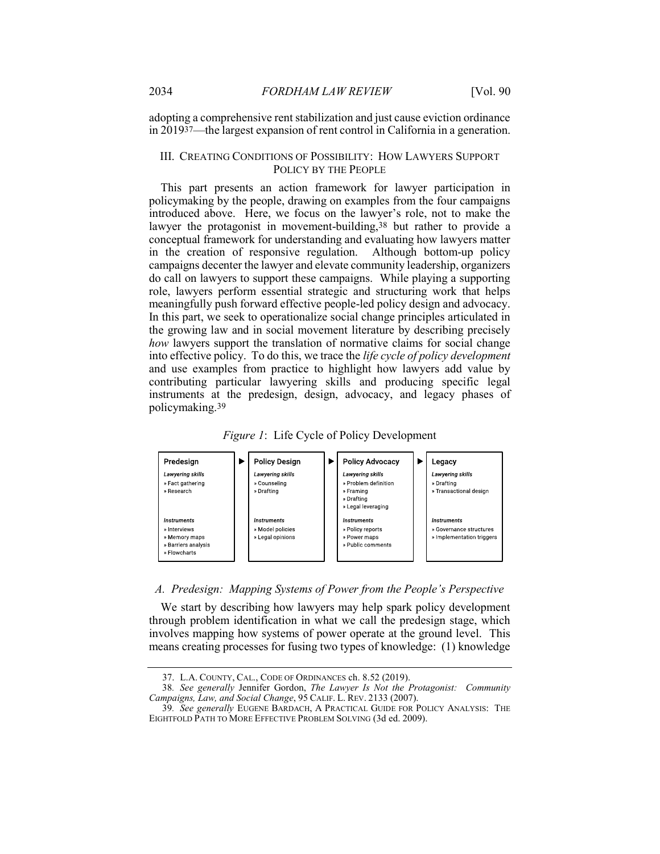adopting a comprehensive rent stabilization and just cause eviction ordinance in 201937—the largest expansion of rent control in California in a generation.

#### III. CREATING CONDITIONS OF POSSIBILITY: HOW LAWYERS SUPPORT POLICY BY THE PEOPLE

This part presents an action framework for lawyer participation in policymaking by the people, drawing on examples from the four campaigns introduced above. Here, we focus on the lawyer's role, not to make the lawyer the protagonist in movement-building,<sup>38</sup> but rather to provide a conceptual framework for understanding and evaluating how lawyers matter in the creation of responsive regulation. Although bottom-up policy campaigns decenter the lawyer and elevate community leadership, organizers do call on lawyers to support these campaigns. While playing a supporting role, lawyers perform essential strategic and structuring work that helps meaningfully push forward effective people-led policy design and advocacy. In this part, we seek to operationalize social change principles articulated in the growing law and in social movement literature by describing precisely how lawyers support the translation of normative claims for social change into effective policy. To do this, we trace the life cycle of policy development and use examples from practice to highlight how lawyers add value by contributing particular lawyering skills and producing specific legal instruments at the predesign, design, advocacy, and legacy phases of policymaking.39





#### A. Predesign: Mapping Systems of Power from the People's Perspective

We start by describing how lawyers may help spark policy development through problem identification in what we call the predesign stage, which involves mapping how systems of power operate at the ground level. This means creating processes for fusing two types of knowledge: (1) knowledge

 <sup>37.</sup> L.A. COUNTY, CAL., CODE OF ORDINANCES ch. 8.52 (2019).

<sup>38</sup>. See generally Jennifer Gordon, The Lawyer Is Not the Protagonist: Community Campaigns, Law, and Social Change, 95 CALIF. L. REV. 2133 (2007).

<sup>39</sup>. See generally EUGENE BARDACH, A PRACTICAL GUIDE FOR POLICY ANALYSIS: THE EIGHTFOLD PATH TO MORE EFFECTIVE PROBLEM SOLVING (3d ed. 2009).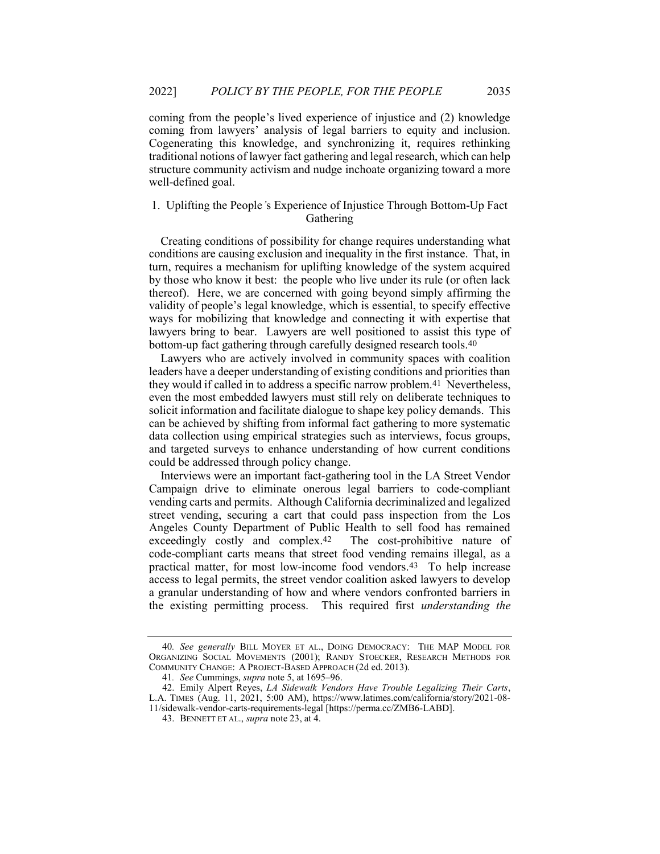coming from the people's lived experience of injustice and (2) knowledge coming from lawyers' analysis of legal barriers to equity and inclusion. Cogenerating this knowledge, and synchronizing it, requires rethinking traditional notions of lawyer fact gathering and legal research, which can help structure community activism and nudge inchoate organizing toward a more well-defined goal.

# 1. Uplifting the People's Experience of Injustice Through Bottom-Up Fact Gathering

Creating conditions of possibility for change requires understanding what conditions are causing exclusion and inequality in the first instance. That, in turn, requires a mechanism for uplifting knowledge of the system acquired by those who know it best: the people who live under its rule (or often lack thereof). Here, we are concerned with going beyond simply affirming the validity of people's legal knowledge, which is essential, to specify effective ways for mobilizing that knowledge and connecting it with expertise that lawyers bring to bear. Lawyers are well positioned to assist this type of bottom-up fact gathering through carefully designed research tools.40

Lawyers who are actively involved in community spaces with coalition leaders have a deeper understanding of existing conditions and priorities than they would if called in to address a specific narrow problem.41 Nevertheless, even the most embedded lawyers must still rely on deliberate techniques to solicit information and facilitate dialogue to shape key policy demands. This can be achieved by shifting from informal fact gathering to more systematic data collection using empirical strategies such as interviews, focus groups, and targeted surveys to enhance understanding of how current conditions could be addressed through policy change.

Interviews were an important fact-gathering tool in the LA Street Vendor Campaign drive to eliminate onerous legal barriers to code-compliant vending carts and permits. Although California decriminalized and legalized street vending, securing a cart that could pass inspection from the Los Angeles County Department of Public Health to sell food has remained exceedingly costly and complex.42 The cost-prohibitive nature of code-compliant carts means that street food vending remains illegal, as a practical matter, for most low-income food vendors.43 To help increase access to legal permits, the street vendor coalition asked lawyers to develop a granular understanding of how and where vendors confronted barriers in the existing permitting process. This required first understanding the

<sup>40.</sup> See generally BILL MOYER ET AL., DOING DEMOCRACY: THE MAP MODEL FOR ORGANIZING SOCIAL MOVEMENTS (2001); RANDY STOECKER, RESEARCH METHODS FOR COMMUNITY CHANGE: A PROJECT-BASED APPROACH (2d ed. 2013).

<sup>41.</sup> See Cummings, *supra* note 5, at 1695–96.

<sup>42.</sup> Emily Alpert Reyes, LA Sidewalk Vendors Have Trouble Legalizing Their Carts, L.A. TIMES (Aug. 11, 2021, 5:00 AM), https://www.latimes.com/california/story/2021-08- 11/sidewalk-vendor-carts-requirements-legal [https://perma.cc/ZMB6-LABD].

 <sup>43.</sup> BENNETT ET AL., supra note 23, at 4.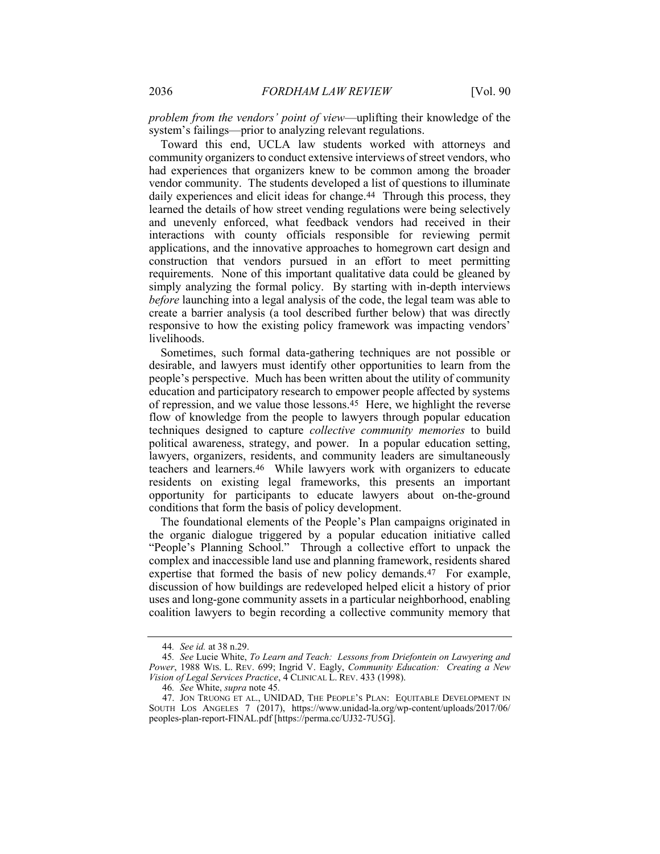problem from the vendors' point of view—uplifting their knowledge of the system's failings—prior to analyzing relevant regulations.

Toward this end, UCLA law students worked with attorneys and community organizers to conduct extensive interviews of street vendors, who had experiences that organizers knew to be common among the broader vendor community. The students developed a list of questions to illuminate daily experiences and elicit ideas for change.<sup>44</sup> Through this process, they learned the details of how street vending regulations were being selectively and unevenly enforced, what feedback vendors had received in their interactions with county officials responsible for reviewing permit applications, and the innovative approaches to homegrown cart design and construction that vendors pursued in an effort to meet permitting requirements. None of this important qualitative data could be gleaned by simply analyzing the formal policy. By starting with in-depth interviews before launching into a legal analysis of the code, the legal team was able to create a barrier analysis (a tool described further below) that was directly responsive to how the existing policy framework was impacting vendors' livelihoods.

Sometimes, such formal data-gathering techniques are not possible or desirable, and lawyers must identify other opportunities to learn from the people's perspective. Much has been written about the utility of community education and participatory research to empower people affected by systems of repression, and we value those lessons.45 Here, we highlight the reverse flow of knowledge from the people to lawyers through popular education techniques designed to capture collective community memories to build political awareness, strategy, and power. In a popular education setting, lawyers, organizers, residents, and community leaders are simultaneously teachers and learners.46 While lawyers work with organizers to educate residents on existing legal frameworks, this presents an important opportunity for participants to educate lawyers about on-the-ground conditions that form the basis of policy development.

The foundational elements of the People's Plan campaigns originated in the organic dialogue triggered by a popular education initiative called "People's Planning School." Through a collective effort to unpack the complex and inaccessible land use and planning framework, residents shared expertise that formed the basis of new policy demands.47 For example, discussion of how buildings are redeveloped helped elicit a history of prior uses and long-gone community assets in a particular neighborhood, enabling coalition lawyers to begin recording a collective community memory that

<sup>44</sup>. See id. at 38 n.29.

<sup>45</sup>. See Lucie White, To Learn and Teach: Lessons from Driefontein on Lawyering and Power, 1988 WIS. L. REV. 699; Ingrid V. Eagly, Community Education: Creating a New Vision of Legal Services Practice, 4 CLINICAL L. REV. 433 (1998).

<sup>46</sup>. See White, supra note 45.

 <sup>47.</sup> JON TRUONG ET AL., UNIDAD, THE PEOPLE'S PLAN: EQUITABLE DEVELOPMENT IN SOUTH LOS ANGELES 7 (2017), https://www.unidad-la.org/wp-content/uploads/2017/06/ peoples-plan-report-FINAL.pdf [https://perma.cc/UJ32-7U5G].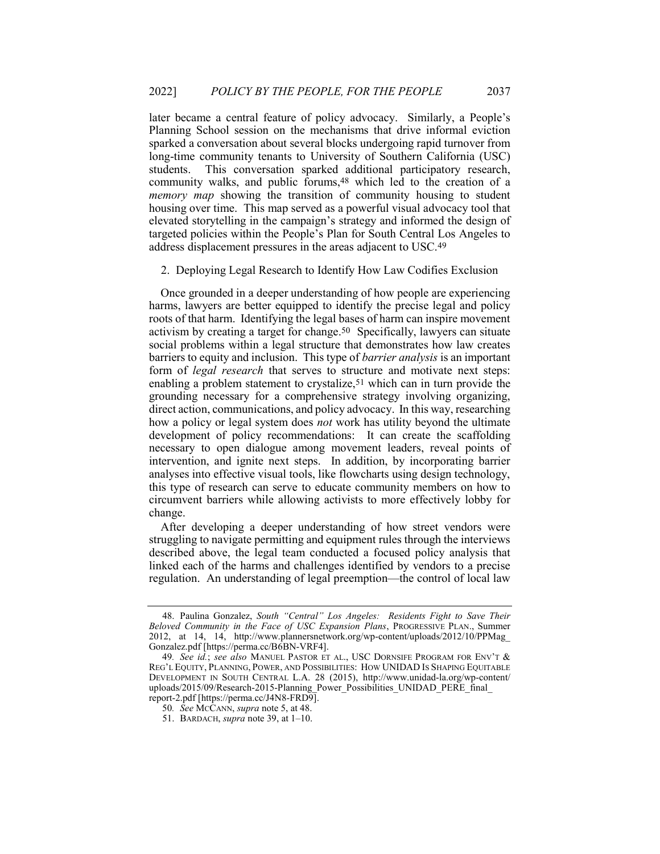later became a central feature of policy advocacy. Similarly, a People's Planning School session on the mechanisms that drive informal eviction sparked a conversation about several blocks undergoing rapid turnover from long-time community tenants to University of Southern California (USC) students. This conversation sparked additional participatory research, community walks, and public forums,48 which led to the creation of a memory map showing the transition of community housing to student housing over time. This map served as a powerful visual advocacy tool that elevated storytelling in the campaign's strategy and informed the design of targeted policies within the People's Plan for South Central Los Angeles to address displacement pressures in the areas adjacent to USC.49

2. Deploying Legal Research to Identify How Law Codifies Exclusion

Once grounded in a deeper understanding of how people are experiencing harms, lawyers are better equipped to identify the precise legal and policy roots of that harm. Identifying the legal bases of harm can inspire movement activism by creating a target for change.50 Specifically, lawyers can situate social problems within a legal structure that demonstrates how law creates barriers to equity and inclusion. This type of barrier analysis is an important form of legal research that serves to structure and motivate next steps: enabling a problem statement to crystalize,<sup>51</sup> which can in turn provide the grounding necessary for a comprehensive strategy involving organizing, direct action, communications, and policy advocacy. In this way, researching how a policy or legal system does *not* work has utility beyond the ultimate development of policy recommendations: It can create the scaffolding necessary to open dialogue among movement leaders, reveal points of intervention, and ignite next steps. In addition, by incorporating barrier analyses into effective visual tools, like flowcharts using design technology, this type of research can serve to educate community members on how to circumvent barriers while allowing activists to more effectively lobby for change.

After developing a deeper understanding of how street vendors were struggling to navigate permitting and equipment rules through the interviews described above, the legal team conducted a focused policy analysis that linked each of the harms and challenges identified by vendors to a precise regulation. An understanding of legal preemption—the control of local law

 <sup>48.</sup> Paulina Gonzalez, South "Central" Los Angeles: Residents Fight to Save Their Beloved Community in the Face of USC Expansion Plans, PROGRESSIVE PLAN., Summer 2012, at 14, 14, http://www.plannersnetwork.org/wp-content/uploads/2012/10/PPMag\_ Gonzalez.pdf [https://perma.cc/B6BN-VRF4].

<sup>49.</sup> See id.; see also MANUEL PASTOR ET AL., USC DORNSIFE PROGRAM FOR ENV'T & REG'L EQUITY, PLANNING, POWER, AND POSSIBILITIES: HOW UNIDAD IS SHAPING EQUITABLE DEVELOPMENT IN SOUTH CENTRAL L.A. 28 (2015), http://www.unidad-la.org/wp-content/ uploads/2015/09/Research-2015-Planning\_Power\_Possibilities\_UNIDAD\_PERE\_final report-2.pdf [https://perma.cc/J4N8-FRD9].

<sup>50.</sup> See MCCANN, supra note 5, at 48.

<sup>51.</sup> BARDACH, supra note 39, at 1-10.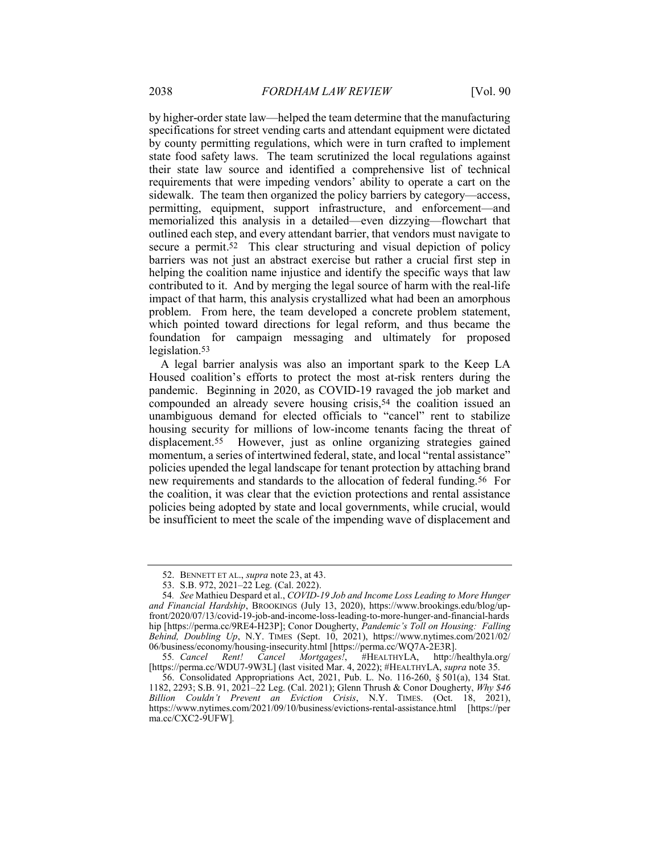by higher-order state law—helped the team determine that the manufacturing specifications for street vending carts and attendant equipment were dictated by county permitting regulations, which were in turn crafted to implement state food safety laws. The team scrutinized the local regulations against their state law source and identified a comprehensive list of technical requirements that were impeding vendors' ability to operate a cart on the sidewalk. The team then organized the policy barriers by category—access, permitting, equipment, support infrastructure, and enforcement—and memorialized this analysis in a detailed—even dizzying—flowchart that outlined each step, and every attendant barrier, that vendors must navigate to secure a permit.52 This clear structuring and visual depiction of policy barriers was not just an abstract exercise but rather a crucial first step in helping the coalition name injustice and identify the specific ways that law contributed to it. And by merging the legal source of harm with the real-life impact of that harm, this analysis crystallized what had been an amorphous problem. From here, the team developed a concrete problem statement, which pointed toward directions for legal reform, and thus became the foundation for campaign messaging and ultimately for proposed legislation.53

A legal barrier analysis was also an important spark to the Keep LA Housed coalition's efforts to protect the most at-risk renters during the pandemic. Beginning in 2020, as COVID-19 ravaged the job market and compounded an already severe housing crisis,<sup>54</sup> the coalition issued an unambiguous demand for elected officials to "cancel" rent to stabilize housing security for millions of low-income tenants facing the threat of displacement.<sup>55</sup> However, just as online organizing strategies gained momentum, a series of intertwined federal, state, and local "rental assistance" policies upended the legal landscape for tenant protection by attaching brand new requirements and standards to the allocation of federal funding.56 For the coalition, it was clear that the eviction protections and rental assistance policies being adopted by state and local governments, while crucial, would be insufficient to meet the scale of the impending wave of displacement and

<sup>52.</sup> BENNETT ET AL., supra note 23, at 43.

 <sup>53.</sup> S.B. 972, 2021–22 Leg. (Cal. 2022).

<sup>54.</sup> See Mathieu Despard et al., COVID-19 Job and Income Loss Leading to More Hunger and Financial Hardship, BROOKINGS (July 13, 2020), https://www.brookings.edu/blog/upfront/2020/07/13/covid-19-job-and-income-loss-leading-to-more-hunger-and-financial-hards hip [https://perma.cc/9RE4-H23P]; Conor Dougherty, Pandemic's Toll on Housing: Falling Behind, Doubling Up, N.Y. TIMES (Sept. 10, 2021), https://www.nytimes.com/2021/02/ 06/business/economy/housing-insecurity.html [https://perma.cc/WQ7A-2E3R].

<sup>55</sup>. Cancel Rent! Cancel Mortgages!, #HEALTHYLA, http://healthyla.org/ [https://perma.cc/WDU7-9W3L] (last visited Mar. 4, 2022); #HEALTHYLA, supra note 35.

 <sup>56.</sup> Consolidated Appropriations Act, 2021, Pub. L. No. 116-260, § 501(a), 134 Stat. 1182, 2293; S.B. 91, 2021–22 Leg. (Cal. 2021); Glenn Thrush & Conor Dougherty, Why \$46 Billion Couldn't Prevent an Eviction Crisis, N.Y. TIMES. (Oct. 18, 2021), https://www.nytimes.com/2021/09/10/business/evictions-rental-assistance.html [https://per ma.cc/CXC2-9UFW].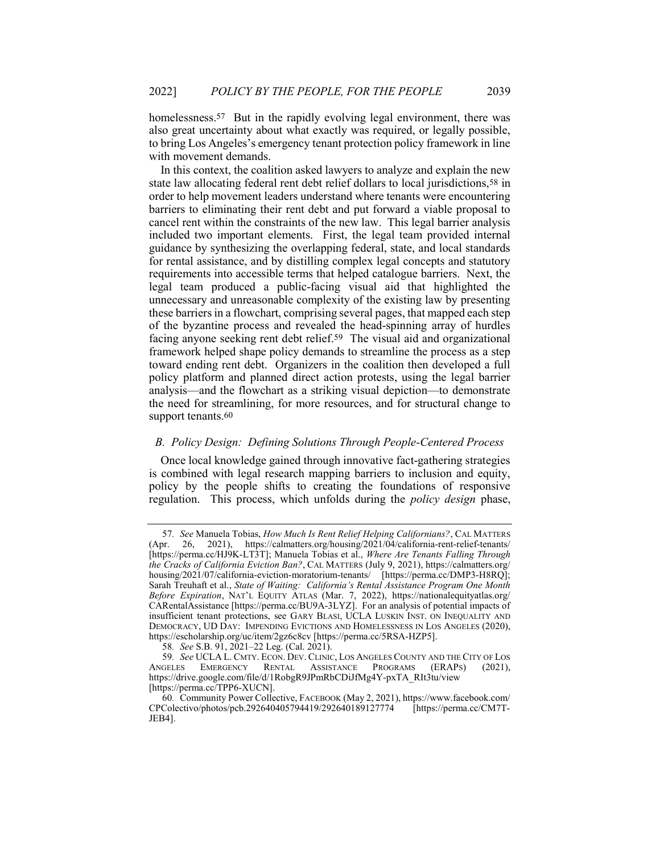homelessness.<sup>57</sup> But in the rapidly evolving legal environment, there was also great uncertainty about what exactly was required, or legally possible, to bring Los Angeles's emergency tenant protection policy framework in line with movement demands.

In this context, the coalition asked lawyers to analyze and explain the new state law allocating federal rent debt relief dollars to local jurisdictions,58 in order to help movement leaders understand where tenants were encountering barriers to eliminating their rent debt and put forward a viable proposal to cancel rent within the constraints of the new law. This legal barrier analysis included two important elements. First, the legal team provided internal guidance by synthesizing the overlapping federal, state, and local standards for rental assistance, and by distilling complex legal concepts and statutory requirements into accessible terms that helped catalogue barriers. Next, the legal team produced a public-facing visual aid that highlighted the unnecessary and unreasonable complexity of the existing law by presenting these barriers in a flowchart, comprising several pages, that mapped each step of the byzantine process and revealed the head-spinning array of hurdles facing anyone seeking rent debt relief.59 The visual aid and organizational framework helped shape policy demands to streamline the process as a step toward ending rent debt. Organizers in the coalition then developed a full policy platform and planned direct action protests, using the legal barrier analysis—and the flowchart as a striking visual depiction—to demonstrate the need for streamlining, for more resources, and for structural change to support tenants.<sup>60</sup>

# B. Policy Design: Defining Solutions Through People-Centered Process

Once local knowledge gained through innovative fact-gathering strategies is combined with legal research mapping barriers to inclusion and equity, policy by the people shifts to creating the foundations of responsive regulation. This process, which unfolds during the *policy design* phase,

<sup>57.</sup> See Manuela Tobias, How Much Is Rent Relief Helping Californians?, CAL MATTERS (Apr. 26, 2021), https://calmatters.org/housing/2021/04/california-rent-relief-tenants/ 26, 2021), https://calmatters.org/housing/2021/04/california-rent-relief-tenants/ [https://perma.cc/HJ9K-LT3T]; Manuela Tobias et al., Where Are Tenants Falling Through the Cracks of California Eviction Ban?, CAL MATTERS (July 9, 2021), https://calmatters.org/ housing/2021/07/california-eviction-moratorium-tenants/ [https://perma.cc/DMP3-H8RQ]; Sarah Treuhaft et al., State of Waiting: California's Rental Assistance Program One Month Before Expiration, NAT'L EQUITY ATLAS (Mar. 7, 2022), https://nationalequityatlas.org/ CARentalAssistance [https://perma.cc/BU9A-3LYZ]. For an analysis of potential impacts of insufficient tenant protections, see GARY BLASI, UCLA LUSKIN INST. ON INEQUALITY AND DEMOCRACY, UD DAY: IMPENDING EVICTIONS AND HOMELESSNESS IN LOS ANGELES (2020), https://escholarship.org/uc/item/2gz6c8cv [https://perma.cc/5RSA-HZP5].

<sup>58.</sup> See S.B.  $91, 2021-22$  Leg. (Cal. 2021).

<sup>59</sup>. See UCLA L. CMTY. ECON. DEV. CLINIC, LOS ANGELES COUNTY AND THE CITY OF LOS ANGELES EMERGENCY RENTAL ASSISTANCE PROGRAMS (ERAPS) (2021), https://drive.google.com/file/d/1RobgR9JPmRbCDiJfMg4Y-pxTA\_RIt3tu/view [https://perma.cc/TPP6-XUCN].

<sup>60</sup>. Community Power Collective, FACEBOOK (May 2, 2021), https://www.facebook.com/ CPColectivo/photos/pcb.292640405794419/292640189127774 [https://perma.cc/CM7T-JEB4].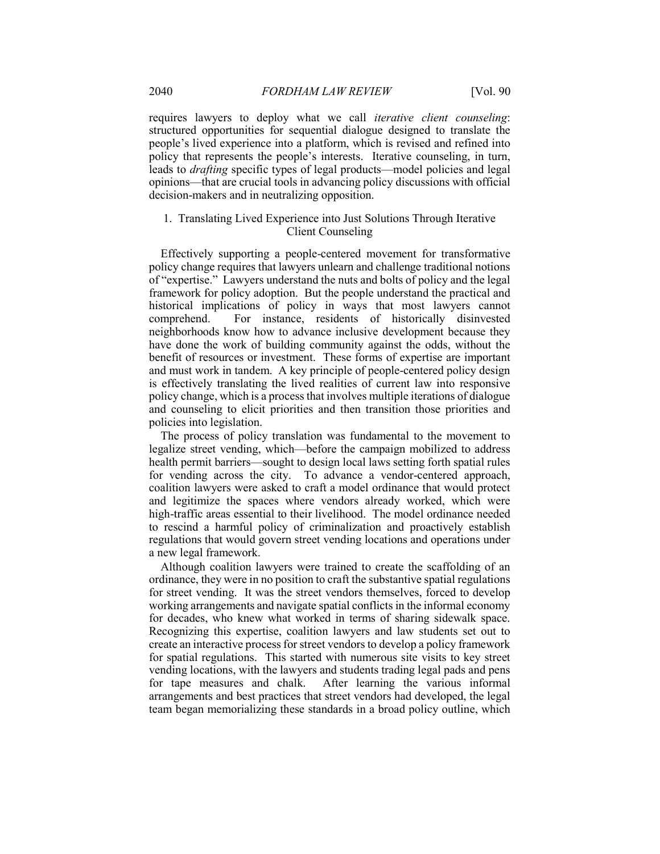requires lawyers to deploy what we call iterative client counseling: structured opportunities for sequential dialogue designed to translate the people's lived experience into a platform, which is revised and refined into policy that represents the people's interests. Iterative counseling, in turn, leads to drafting specific types of legal products—model policies and legal opinions—that are crucial tools in advancing policy discussions with official decision-makers and in neutralizing opposition.

# 1. Translating Lived Experience into Just Solutions Through Iterative Client Counseling

Effectively supporting a people-centered movement for transformative policy change requires that lawyers unlearn and challenge traditional notions of "expertise." Lawyers understand the nuts and bolts of policy and the legal framework for policy adoption. But the people understand the practical and historical implications of policy in ways that most lawyers cannot comprehend. For instance, residents of historically disinvested neighborhoods know how to advance inclusive development because they have done the work of building community against the odds, without the benefit of resources or investment. These forms of expertise are important and must work in tandem. A key principle of people-centered policy design is effectively translating the lived realities of current law into responsive policy change, which is a process that involves multiple iterations of dialogue and counseling to elicit priorities and then transition those priorities and policies into legislation.

The process of policy translation was fundamental to the movement to legalize street vending, which—before the campaign mobilized to address health permit barriers—sought to design local laws setting forth spatial rules for vending across the city. To advance a vendor-centered approach, coalition lawyers were asked to craft a model ordinance that would protect and legitimize the spaces where vendors already worked, which were high-traffic areas essential to their livelihood. The model ordinance needed to rescind a harmful policy of criminalization and proactively establish regulations that would govern street vending locations and operations under a new legal framework.

Although coalition lawyers were trained to create the scaffolding of an ordinance, they were in no position to craft the substantive spatial regulations for street vending. It was the street vendors themselves, forced to develop working arrangements and navigate spatial conflicts in the informal economy for decades, who knew what worked in terms of sharing sidewalk space. Recognizing this expertise, coalition lawyers and law students set out to create an interactive process for street vendors to develop a policy framework for spatial regulations. This started with numerous site visits to key street vending locations, with the lawyers and students trading legal pads and pens for tape measures and chalk. After learning the various informal arrangements and best practices that street vendors had developed, the legal team began memorializing these standards in a broad policy outline, which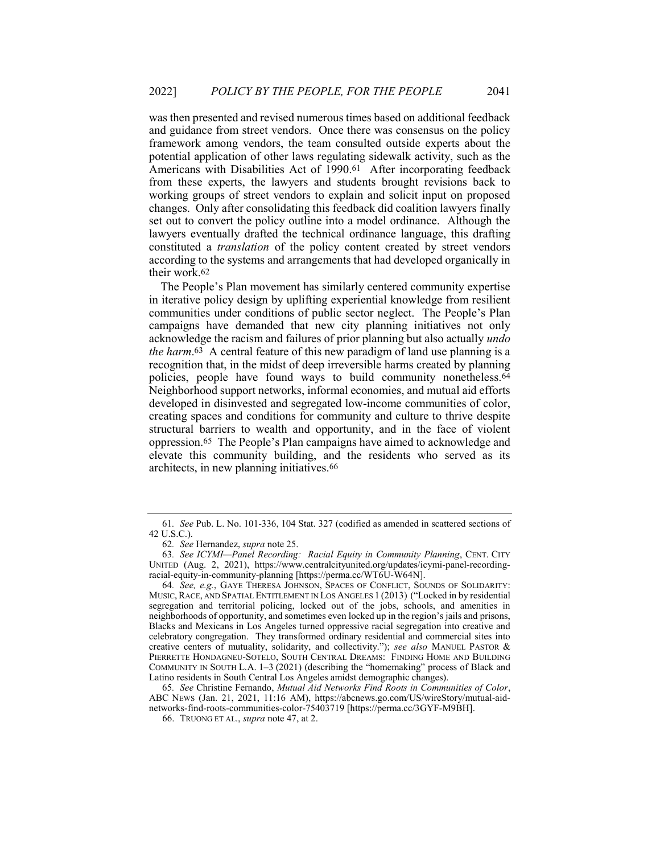was then presented and revised numerous times based on additional feedback and guidance from street vendors. Once there was consensus on the policy framework among vendors, the team consulted outside experts about the potential application of other laws regulating sidewalk activity, such as the Americans with Disabilities Act of 1990.61 After incorporating feedback from these experts, the lawyers and students brought revisions back to working groups of street vendors to explain and solicit input on proposed changes. Only after consolidating this feedback did coalition lawyers finally set out to convert the policy outline into a model ordinance. Although the lawyers eventually drafted the technical ordinance language, this drafting constituted a translation of the policy content created by street vendors according to the systems and arrangements that had developed organically in their work.62

The People's Plan movement has similarly centered community expertise in iterative policy design by uplifting experiential knowledge from resilient communities under conditions of public sector neglect. The People's Plan campaigns have demanded that new city planning initiatives not only acknowledge the racism and failures of prior planning but also actually undo the harm.63 A central feature of this new paradigm of land use planning is a recognition that, in the midst of deep irreversible harms created by planning policies, people have found ways to build community nonetheless.64 Neighborhood support networks, informal economies, and mutual aid efforts developed in disinvested and segregated low-income communities of color, creating spaces and conditions for community and culture to thrive despite structural barriers to wealth and opportunity, and in the face of violent oppression.65 The People's Plan campaigns have aimed to acknowledge and elevate this community building, and the residents who served as its architects, in new planning initiatives.66

<sup>61</sup>. See Pub. L. No. 101-336, 104 Stat. 327 (codified as amended in scattered sections of 42 U.S.C.).

<sup>62</sup>. See Hernandez, supra note 25.

<sup>63</sup>. See ICYMI—Panel Recording: Racial Equity in Community Planning, CENT. CITY UNITED (Aug. 2, 2021), https://www.centralcityunited.org/updates/icymi-panel-recordingracial-equity-in-community-planning [https://perma.cc/WT6U-W64N].

<sup>64</sup>. See, e.g., GAYE THERESA JOHNSON, SPACES OF CONFLICT, SOUNDS OF SOLIDARITY: MUSIC,RACE, AND SPATIAL ENTITLEMENT IN LOS ANGELES 1 (2013) ("Locked in by residential segregation and territorial policing, locked out of the jobs, schools, and amenities in neighborhoods of opportunity, and sometimes even locked up in the region's jails and prisons, Blacks and Mexicans in Los Angeles turned oppressive racial segregation into creative and celebratory congregation. They transformed ordinary residential and commercial sites into creative centers of mutuality, solidarity, and collectivity."); see also MANUEL PASTOR & PIERRETTE HONDAGNEU-SOTELO, SOUTH CENTRAL DREAMS: FINDING HOME AND BUILDING COMMUNITY IN SOUTH L.A. 1–3 (2021) (describing the "homemaking" process of Black and Latino residents in South Central Los Angeles amidst demographic changes).

<sup>65</sup>. See Christine Fernando, Mutual Aid Networks Find Roots in Communities of Color, ABC NEWS (Jan. 21, 2021, 11:16 AM), https://abcnews.go.com/US/wireStory/mutual-aidnetworks-find-roots-communities-color-75403719 [https://perma.cc/3GYF-M9BH].

 <sup>66.</sup> TRUONG ET AL., supra note 47, at 2.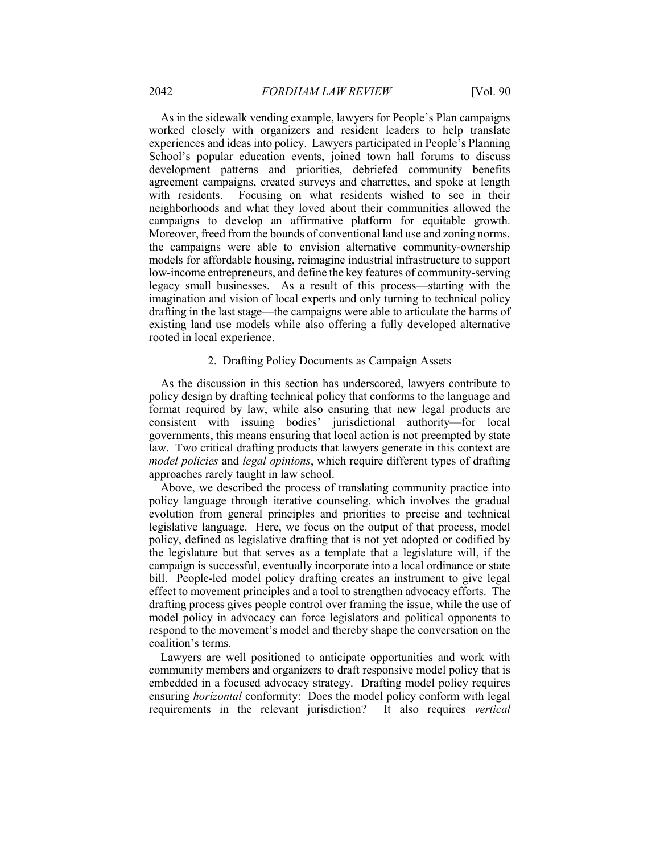As in the sidewalk vending example, lawyers for People's Plan campaigns worked closely with organizers and resident leaders to help translate experiences and ideas into policy. Lawyers participated in People's Planning School's popular education events, joined town hall forums to discuss development patterns and priorities, debriefed community benefits agreement campaigns, created surveys and charrettes, and spoke at length with residents. Focusing on what residents wished to see in their neighborhoods and what they loved about their communities allowed the campaigns to develop an affirmative platform for equitable growth. Moreover, freed from the bounds of conventional land use and zoning norms, the campaigns were able to envision alternative community-ownership models for affordable housing, reimagine industrial infrastructure to support low-income entrepreneurs, and define the key features of community-serving legacy small businesses. As a result of this process—starting with the imagination and vision of local experts and only turning to technical policy drafting in the last stage—the campaigns were able to articulate the harms of existing land use models while also offering a fully developed alternative rooted in local experience.

#### 2. Drafting Policy Documents as Campaign Assets

As the discussion in this section has underscored, lawyers contribute to policy design by drafting technical policy that conforms to the language and format required by law, while also ensuring that new legal products are consistent with issuing bodies' jurisdictional authority—for local governments, this means ensuring that local action is not preempted by state law. Two critical drafting products that lawyers generate in this context are model policies and legal opinions, which require different types of drafting approaches rarely taught in law school.

Above, we described the process of translating community practice into policy language through iterative counseling, which involves the gradual evolution from general principles and priorities to precise and technical legislative language. Here, we focus on the output of that process, model policy, defined as legislative drafting that is not yet adopted or codified by the legislature but that serves as a template that a legislature will, if the campaign is successful, eventually incorporate into a local ordinance or state bill. People-led model policy drafting creates an instrument to give legal effect to movement principles and a tool to strengthen advocacy efforts. The drafting process gives people control over framing the issue, while the use of model policy in advocacy can force legislators and political opponents to respond to the movement's model and thereby shape the conversation on the coalition's terms.

Lawyers are well positioned to anticipate opportunities and work with community members and organizers to draft responsive model policy that is embedded in a focused advocacy strategy. Drafting model policy requires ensuring horizontal conformity: Does the model policy conform with legal requirements in the relevant jurisdiction? It also requires vertical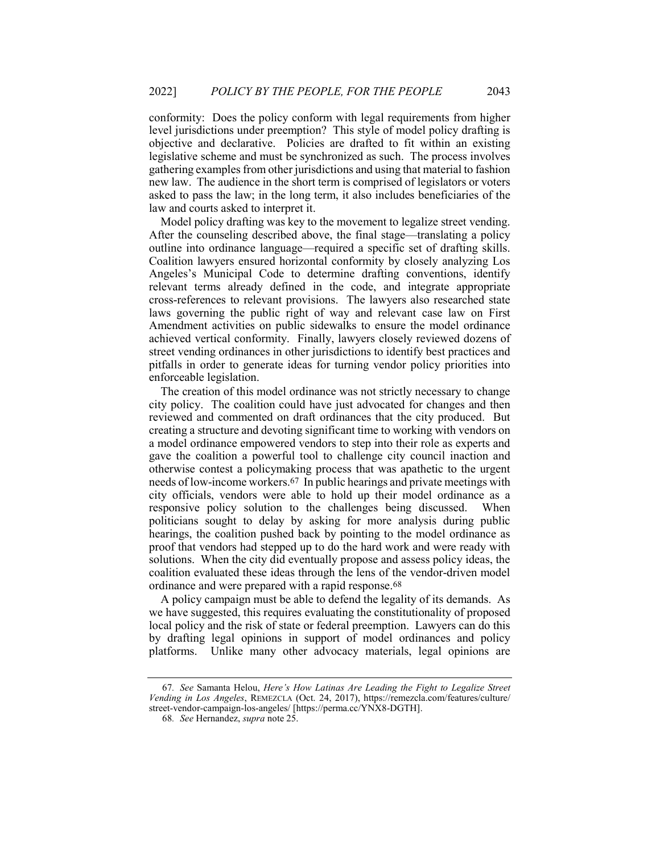conformity: Does the policy conform with legal requirements from higher level jurisdictions under preemption? This style of model policy drafting is objective and declarative. Policies are drafted to fit within an existing legislative scheme and must be synchronized as such. The process involves gathering examples from other jurisdictions and using that material to fashion new law. The audience in the short term is comprised of legislators or voters asked to pass the law; in the long term, it also includes beneficiaries of the law and courts asked to interpret it.

Model policy drafting was key to the movement to legalize street vending. After the counseling described above, the final stage—translating a policy outline into ordinance language—required a specific set of drafting skills. Coalition lawyers ensured horizontal conformity by closely analyzing Los Angeles's Municipal Code to determine drafting conventions, identify relevant terms already defined in the code, and integrate appropriate cross-references to relevant provisions. The lawyers also researched state laws governing the public right of way and relevant case law on First Amendment activities on public sidewalks to ensure the model ordinance achieved vertical conformity. Finally, lawyers closely reviewed dozens of street vending ordinances in other jurisdictions to identify best practices and pitfalls in order to generate ideas for turning vendor policy priorities into enforceable legislation.

The creation of this model ordinance was not strictly necessary to change city policy. The coalition could have just advocated for changes and then reviewed and commented on draft ordinances that the city produced. But creating a structure and devoting significant time to working with vendors on a model ordinance empowered vendors to step into their role as experts and gave the coalition a powerful tool to challenge city council inaction and otherwise contest a policymaking process that was apathetic to the urgent needs of low-income workers.67 In public hearings and private meetings with city officials, vendors were able to hold up their model ordinance as a responsive policy solution to the challenges being discussed. When politicians sought to delay by asking for more analysis during public hearings, the coalition pushed back by pointing to the model ordinance as proof that vendors had stepped up to do the hard work and were ready with solutions. When the city did eventually propose and assess policy ideas, the coalition evaluated these ideas through the lens of the vendor-driven model ordinance and were prepared with a rapid response.68

A policy campaign must be able to defend the legality of its demands. As we have suggested, this requires evaluating the constitutionality of proposed local policy and the risk of state or federal preemption. Lawyers can do this by drafting legal opinions in support of model ordinances and policy platforms. Unlike many other advocacy materials, legal opinions are

<sup>67</sup>. See Samanta Helou, Here's How Latinas Are Leading the Fight to Legalize Street Vending in Los Angeles, REMEZCLA (Oct. 24, 2017), https://remezcla.com/features/culture/ street-vendor-campaign-los-angeles/ [https://perma.cc/YNX8-DGTH].

<sup>68</sup>. See Hernandez, supra note 25.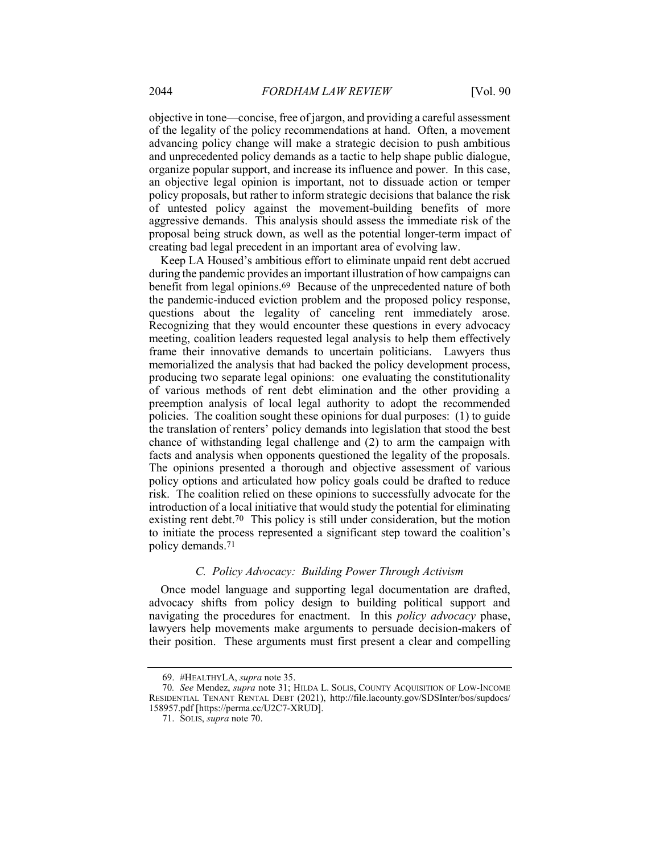objective in tone—concise, free of jargon, and providing a careful assessment of the legality of the policy recommendations at hand. Often, a movement advancing policy change will make a strategic decision to push ambitious and unprecedented policy demands as a tactic to help shape public dialogue, organize popular support, and increase its influence and power. In this case, an objective legal opinion is important, not to dissuade action or temper policy proposals, but rather to inform strategic decisions that balance the risk of untested policy against the movement-building benefits of more aggressive demands. This analysis should assess the immediate risk of the proposal being struck down, as well as the potential longer-term impact of creating bad legal precedent in an important area of evolving law.

Keep LA Housed's ambitious effort to eliminate unpaid rent debt accrued during the pandemic provides an important illustration of how campaigns can benefit from legal opinions.69 Because of the unprecedented nature of both the pandemic-induced eviction problem and the proposed policy response, questions about the legality of canceling rent immediately arose. Recognizing that they would encounter these questions in every advocacy meeting, coalition leaders requested legal analysis to help them effectively frame their innovative demands to uncertain politicians. Lawyers thus memorialized the analysis that had backed the policy development process, producing two separate legal opinions: one evaluating the constitutionality of various methods of rent debt elimination and the other providing a preemption analysis of local legal authority to adopt the recommended policies. The coalition sought these opinions for dual purposes: (1) to guide the translation of renters' policy demands into legislation that stood the best chance of withstanding legal challenge and (2) to arm the campaign with facts and analysis when opponents questioned the legality of the proposals. The opinions presented a thorough and objective assessment of various policy options and articulated how policy goals could be drafted to reduce risk. The coalition relied on these opinions to successfully advocate for the introduction of a local initiative that would study the potential for eliminating existing rent debt.<sup>70</sup> This policy is still under consideration, but the motion to initiate the process represented a significant step toward the coalition's policy demands.71

#### C. Policy Advocacy: Building Power Through Activism

Once model language and supporting legal documentation are drafted, advocacy shifts from policy design to building political support and navigating the procedures for enactment. In this *policy advocacy* phase, lawyers help movements make arguments to persuade decision-makers of their position. These arguments must first present a clear and compelling

 <sup>69. #</sup>HEALTHYLA, supra note 35.

<sup>70</sup>. See Mendez, supra note 31; HILDA L. SOLIS, COUNTY ACQUISITION OF LOW-INCOME RESIDENTIAL TENANT RENTAL DEBT (2021), http://file.lacounty.gov/SDSInter/bos/supdocs/ 158957.pdf [https://perma.cc/U2C7-XRUD].

 <sup>71.</sup> SOLIS, supra note 70.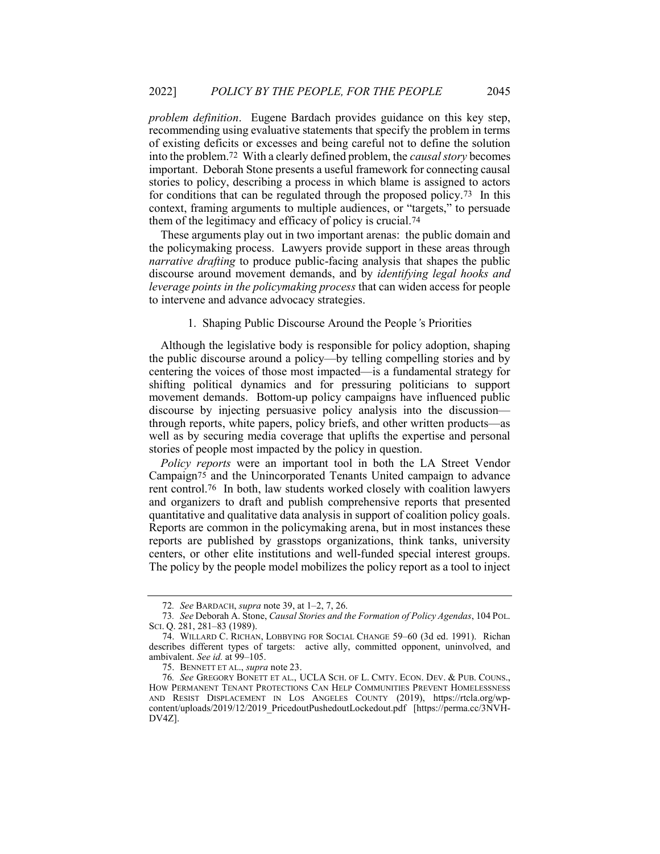problem definition. Eugene Bardach provides guidance on this key step, recommending using evaluative statements that specify the problem in terms of existing deficits or excesses and being careful not to define the solution into the problem.72 With a clearly defined problem, the causal story becomes important. Deborah Stone presents a useful framework for connecting causal stories to policy, describing a process in which blame is assigned to actors for conditions that can be regulated through the proposed policy.73 In this context, framing arguments to multiple audiences, or "targets," to persuade them of the legitimacy and efficacy of policy is crucial.74

These arguments play out in two important arenas: the public domain and the policymaking process. Lawyers provide support in these areas through *narrative drafting* to produce public-facing analysis that shapes the public discourse around movement demands, and by identifying legal hooks and leverage points in the policymaking process that can widen access for people to intervene and advance advocacy strategies.

#### 1. Shaping Public Discourse Around the People's Priorities

Although the legislative body is responsible for policy adoption, shaping the public discourse around a policy—by telling compelling stories and by centering the voices of those most impacted—is a fundamental strategy for shifting political dynamics and for pressuring politicians to support movement demands. Bottom-up policy campaigns have influenced public discourse by injecting persuasive policy analysis into the discussion through reports, white papers, policy briefs, and other written products—as well as by securing media coverage that uplifts the expertise and personal stories of people most impacted by the policy in question.

Policy reports were an important tool in both the LA Street Vendor Campaign75 and the Unincorporated Tenants United campaign to advance rent control.76 In both, law students worked closely with coalition lawyers and organizers to draft and publish comprehensive reports that presented quantitative and qualitative data analysis in support of coalition policy goals. Reports are common in the policymaking arena, but in most instances these reports are published by grasstops organizations, think tanks, university centers, or other elite institutions and well-funded special interest groups. The policy by the people model mobilizes the policy report as a tool to inject

<sup>72</sup>. See BARDACH, supra note 39, at 1–2, 7, 26.

<sup>73</sup>. See Deborah A. Stone, Causal Stories and the Formation of Policy Agendas, 104 POL. SCI. Q. 281, 281–83 (1989).

 <sup>74.</sup> WILLARD C. RICHAN, LOBBYING FOR SOCIAL CHANGE 59–60 (3d ed. 1991). Richan describes different types of targets: active ally, committed opponent, uninvolved, and ambivalent. See id. at 99–105.

<sup>75.</sup> BENNETT ET AL., *supra* note 23.

<sup>76</sup>. See GREGORY BONETT ET AL., UCLA SCH. OF L. CMTY. ECON. DEV. & PUB. COUNS., HOW PERMANENT TENANT PROTECTIONS CAN HELP COMMUNITIES PREVENT HOMELESSNESS AND RESIST DISPLACEMENT IN LOS ANGELES COUNTY (2019), https://rtcla.org/wpcontent/uploads/2019/12/2019\_PricedoutPushedoutLockedout.pdf [https://perma.cc/3NVH-DV4Z].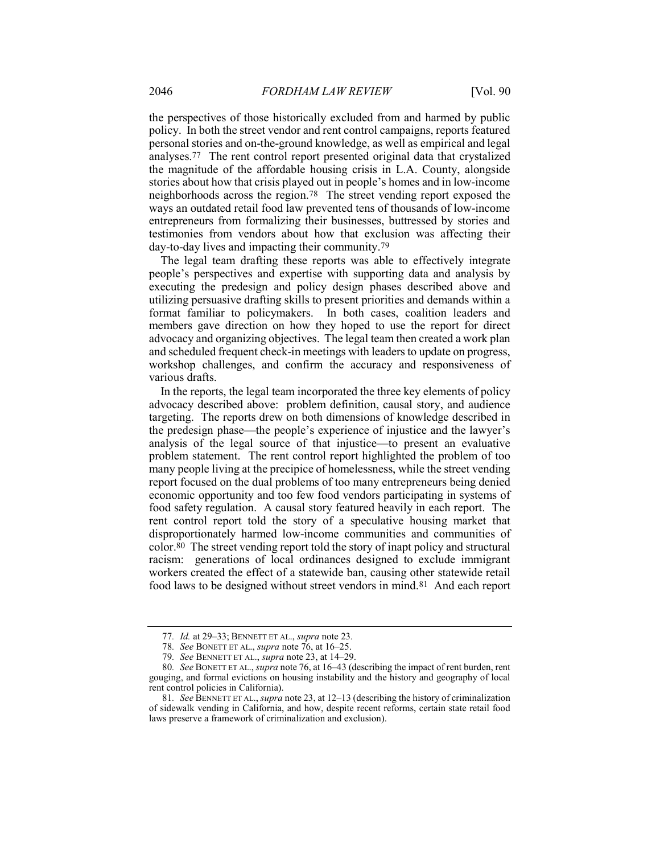the perspectives of those historically excluded from and harmed by public policy. In both the street vendor and rent control campaigns, reports featured personal stories and on-the-ground knowledge, as well as empirical and legal analyses.77 The rent control report presented original data that crystalized the magnitude of the affordable housing crisis in L.A. County, alongside stories about how that crisis played out in people's homes and in low-income neighborhoods across the region.78 The street vending report exposed the ways an outdated retail food law prevented tens of thousands of low-income entrepreneurs from formalizing their businesses, buttressed by stories and testimonies from vendors about how that exclusion was affecting their day-to-day lives and impacting their community.79

The legal team drafting these reports was able to effectively integrate people's perspectives and expertise with supporting data and analysis by executing the predesign and policy design phases described above and utilizing persuasive drafting skills to present priorities and demands within a format familiar to policymakers. In both cases, coalition leaders and members gave direction on how they hoped to use the report for direct advocacy and organizing objectives. The legal team then created a work plan and scheduled frequent check-in meetings with leaders to update on progress, workshop challenges, and confirm the accuracy and responsiveness of various drafts.

In the reports, the legal team incorporated the three key elements of policy advocacy described above: problem definition, causal story, and audience targeting. The reports drew on both dimensions of knowledge described in the predesign phase—the people's experience of injustice and the lawyer's analysis of the legal source of that injustice—to present an evaluative problem statement. The rent control report highlighted the problem of too many people living at the precipice of homelessness, while the street vending report focused on the dual problems of too many entrepreneurs being denied economic opportunity and too few food vendors participating in systems of food safety regulation. A causal story featured heavily in each report. The rent control report told the story of a speculative housing market that disproportionately harmed low-income communities and communities of color.80 The street vending report told the story of inapt policy and structural racism: generations of local ordinances designed to exclude immigrant workers created the effect of a statewide ban, causing other statewide retail food laws to be designed without street vendors in mind.81 And each report

<sup>77</sup>. Id. at 29–33; BENNETT ET AL., supra note 23.

<sup>78.</sup> See BONETT ET AL., supra note 76, at 16-25.

<sup>79</sup>. See BENNETT ET AL., supra note 23, at 14–29.

<sup>80</sup>. See BONETT ET AL., supra note 76, at 16–43 (describing the impact of rent burden, rent gouging, and formal evictions on housing instability and the history and geography of local rent control policies in California).

<sup>81.</sup> See BENNETT ET AL., supra note 23, at 12–13 (describing the history of criminalization of sidewalk vending in California, and how, despite recent reforms, certain state retail food laws preserve a framework of criminalization and exclusion).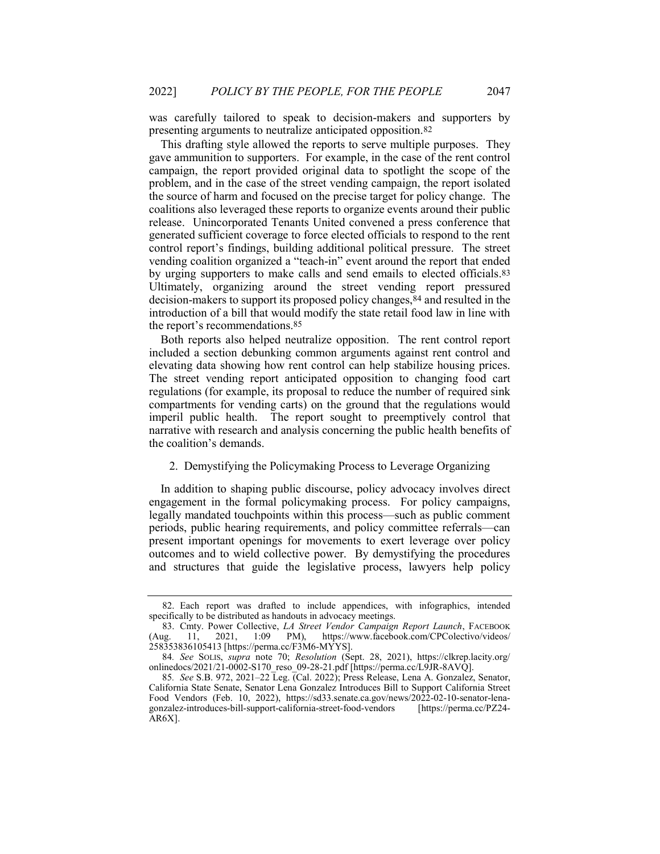was carefully tailored to speak to decision-makers and supporters by presenting arguments to neutralize anticipated opposition.82

This drafting style allowed the reports to serve multiple purposes. They gave ammunition to supporters. For example, in the case of the rent control campaign, the report provided original data to spotlight the scope of the problem, and in the case of the street vending campaign, the report isolated the source of harm and focused on the precise target for policy change. The coalitions also leveraged these reports to organize events around their public release. Unincorporated Tenants United convened a press conference that generated sufficient coverage to force elected officials to respond to the rent control report's findings, building additional political pressure. The street vending coalition organized a "teach-in" event around the report that ended by urging supporters to make calls and send emails to elected officials.83 Ultimately, organizing around the street vending report pressured decision-makers to support its proposed policy changes,84 and resulted in the introduction of a bill that would modify the state retail food law in line with the report's recommendations.85

Both reports also helped neutralize opposition. The rent control report included a section debunking common arguments against rent control and elevating data showing how rent control can help stabilize housing prices. The street vending report anticipated opposition to changing food cart regulations (for example, its proposal to reduce the number of required sink compartments for vending carts) on the ground that the regulations would imperil public health. The report sought to preemptively control that narrative with research and analysis concerning the public health benefits of the coalition's demands.

#### 2. Demystifying the Policymaking Process to Leverage Organizing

In addition to shaping public discourse, policy advocacy involves direct engagement in the formal policymaking process. For policy campaigns, legally mandated touchpoints within this process—such as public comment periods, public hearing requirements, and policy committee referrals—can present important openings for movements to exert leverage over policy outcomes and to wield collective power. By demystifying the procedures and structures that guide the legislative process, lawyers help policy

 <sup>82.</sup> Each report was drafted to include appendices, with infographics, intended specifically to be distributed as handouts in advocacy meetings.

<sup>83.</sup> Cmty. Power Collective, LA Street Vendor Campaign Report Launch, FACEBOOK (Aug. 11, 2021, 1:09 PM), https://www.facebook.com/CPColectivo/videos/ 258353836105413 [https://perma.cc/F3M6-MYYS].

<sup>84</sup>. See SOLIS, supra note 70; Resolution (Sept. 28, 2021), https://clkrep.lacity.org/ onlinedocs/2021/21-0002-S170\_reso\_09-28-21.pdf [https://perma.cc/L9JR-8AVQ].

<sup>85</sup>. See S.B. 972, 2021–22 Leg. (Cal. 2022); Press Release, Lena A. Gonzalez, Senator, California State Senate, Senator Lena Gonzalez Introduces Bill to Support California Street Food Vendors (Feb. 10, 2022), https://sd33.senate.ca.gov/news/2022-02-10-senator-lenagonzalez-introduces-bill-support-california-street-food-vendors [https://perma.cc/PZ24- AR6X].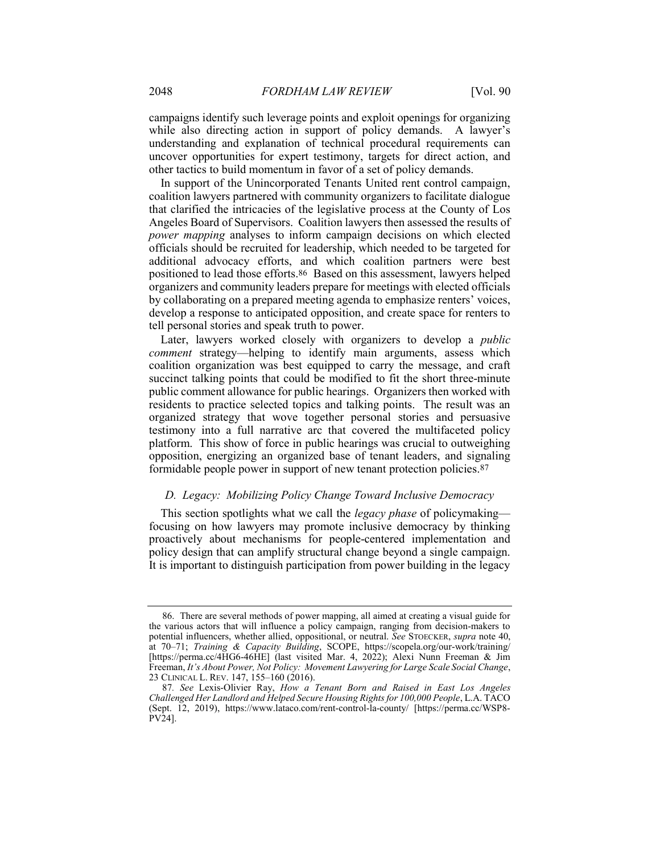campaigns identify such leverage points and exploit openings for organizing while also directing action in support of policy demands. A lawyer's understanding and explanation of technical procedural requirements can uncover opportunities for expert testimony, targets for direct action, and other tactics to build momentum in favor of a set of policy demands.

In support of the Unincorporated Tenants United rent control campaign, coalition lawyers partnered with community organizers to facilitate dialogue that clarified the intricacies of the legislative process at the County of Los Angeles Board of Supervisors. Coalition lawyers then assessed the results of power mapping analyses to inform campaign decisions on which elected officials should be recruited for leadership, which needed to be targeted for additional advocacy efforts, and which coalition partners were best positioned to lead those efforts.86 Based on this assessment, lawyers helped organizers and community leaders prepare for meetings with elected officials by collaborating on a prepared meeting agenda to emphasize renters' voices, develop a response to anticipated opposition, and create space for renters to tell personal stories and speak truth to power.

Later, lawyers worked closely with organizers to develop a public comment strategy—helping to identify main arguments, assess which coalition organization was best equipped to carry the message, and craft succinct talking points that could be modified to fit the short three-minute public comment allowance for public hearings. Organizers then worked with residents to practice selected topics and talking points. The result was an organized strategy that wove together personal stories and persuasive testimony into a full narrative arc that covered the multifaceted policy platform. This show of force in public hearings was crucial to outweighing opposition, energizing an organized base of tenant leaders, and signaling formidable people power in support of new tenant protection policies.87

# D. Legacy: Mobilizing Policy Change Toward Inclusive Democracy

This section spotlights what we call the *legacy phase* of policymaking focusing on how lawyers may promote inclusive democracy by thinking proactively about mechanisms for people-centered implementation and policy design that can amplify structural change beyond a single campaign. It is important to distinguish participation from power building in the legacy

 <sup>86.</sup> There are several methods of power mapping, all aimed at creating a visual guide for the various actors that will influence a policy campaign, ranging from decision-makers to potential influencers, whether allied, oppositional, or neutral. See STOECKER, supra note 40, at 70–71; Training & Capacity Building, SCOPE, https://scopela.org/our-work/training/ [https://perma.cc/4HG6-46HE] (last visited Mar. 4, 2022); Alexi Nunn Freeman & Jim Freeman, It's About Power, Not Policy: Movement Lawyering for Large Scale Social Change, 23 CLINICAL L. REV. 147, 155–160 (2016).

<sup>87.</sup> See Lexis-Olivier Ray, How a Tenant Born and Raised in East Los Angeles Challenged Her Landlord and Helped Secure Housing Rights for 100,000 People, L.A. TACO (Sept. 12, 2019), https://www.lataco.com/rent-control-la-county/ [https://perma.cc/WSP8-  $\rm \tilde{P}V\tilde{2}4$ ].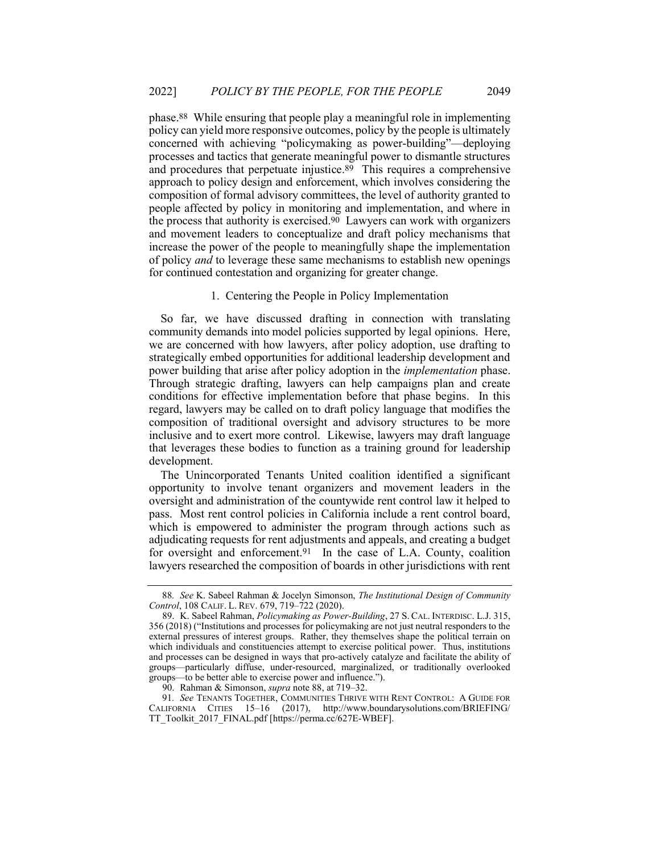phase.88 While ensuring that people play a meaningful role in implementing policy can yield more responsive outcomes, policy by the people is ultimately concerned with achieving "policymaking as power-building"—deploying processes and tactics that generate meaningful power to dismantle structures and procedures that perpetuate injustice.<sup>89</sup> This requires a comprehensive approach to policy design and enforcement, which involves considering the composition of formal advisory committees, the level of authority granted to people affected by policy in monitoring and implementation, and where in the process that authority is exercised.90 Lawyers can work with organizers and movement leaders to conceptualize and draft policy mechanisms that increase the power of the people to meaningfully shape the implementation of policy and to leverage these same mechanisms to establish new openings for continued contestation and organizing for greater change.

#### 1. Centering the People in Policy Implementation

So far, we have discussed drafting in connection with translating community demands into model policies supported by legal opinions. Here, we are concerned with how lawyers, after policy adoption, use drafting to strategically embed opportunities for additional leadership development and power building that arise after policy adoption in the implementation phase. Through strategic drafting, lawyers can help campaigns plan and create conditions for effective implementation before that phase begins. In this regard, lawyers may be called on to draft policy language that modifies the composition of traditional oversight and advisory structures to be more inclusive and to exert more control. Likewise, lawyers may draft language that leverages these bodies to function as a training ground for leadership development.

The Unincorporated Tenants United coalition identified a significant opportunity to involve tenant organizers and movement leaders in the oversight and administration of the countywide rent control law it helped to pass. Most rent control policies in California include a rent control board, which is empowered to administer the program through actions such as adjudicating requests for rent adjustments and appeals, and creating a budget for oversight and enforcement.<sup>91</sup> In the case of L.A. County, coalition lawyers researched the composition of boards in other jurisdictions with rent

<sup>88</sup>. See K. Sabeel Rahman & Jocelyn Simonson, The Institutional Design of Community Control, 108 CALIF. L. REV. 679, 719–722 (2020).

 <sup>89.</sup> K. Sabeel Rahman, Policymaking as Power-Building, 27 S. CAL. INTERDISC. L.J. 315, 356 (2018) ("Institutions and processes for policymaking are not just neutral responders to the external pressures of interest groups. Rather, they themselves shape the political terrain on which individuals and constituencies attempt to exercise political power. Thus, institutions and processes can be designed in ways that pro-actively catalyze and facilitate the ability of groups—particularly diffuse, under-resourced, marginalized, or traditionally overlooked groups—to be better able to exercise power and influence.").

 <sup>90.</sup> Rahman & Simonson, supra note 88, at 719–32.

<sup>91</sup>. See TENANTS TOGETHER, COMMUNITIES THRIVE WITH RENT CONTROL: A GUIDE FOR CALIFORNIA CITIES 15–16 (2017), http://www.boundarysolutions.com/BRIEFING/ TT\_Toolkit\_2017\_FINAL.pdf [https://perma.cc/627E-WBEF].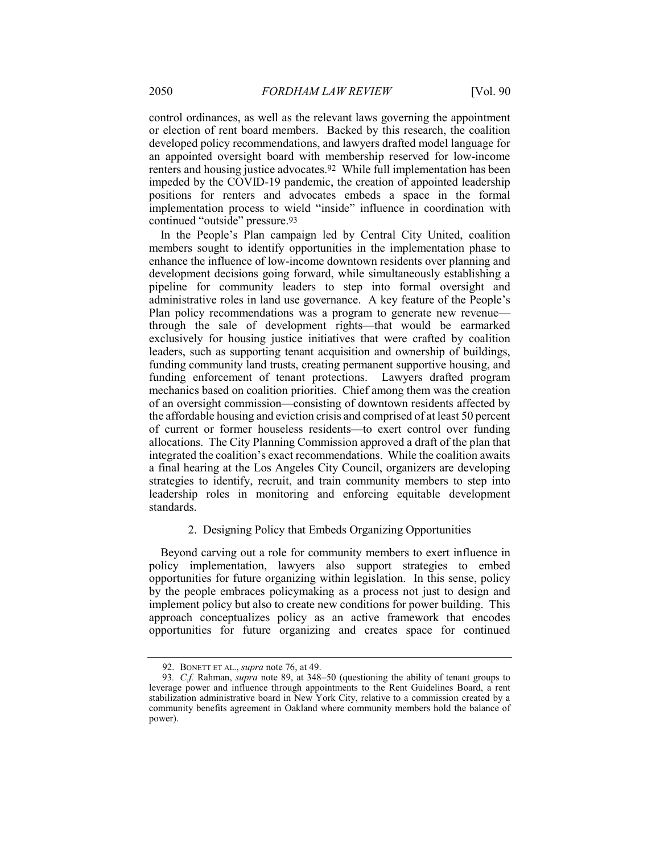control ordinances, as well as the relevant laws governing the appointment or election of rent board members. Backed by this research, the coalition developed policy recommendations, and lawyers drafted model language for an appointed oversight board with membership reserved for low-income renters and housing justice advocates.92 While full implementation has been impeded by the COVID-19 pandemic, the creation of appointed leadership positions for renters and advocates embeds a space in the formal implementation process to wield "inside" influence in coordination with continued "outside" pressure.93

In the People's Plan campaign led by Central City United, coalition members sought to identify opportunities in the implementation phase to enhance the influence of low-income downtown residents over planning and development decisions going forward, while simultaneously establishing a pipeline for community leaders to step into formal oversight and administrative roles in land use governance. A key feature of the People's Plan policy recommendations was a program to generate new revenue through the sale of development rights—that would be earmarked exclusively for housing justice initiatives that were crafted by coalition leaders, such as supporting tenant acquisition and ownership of buildings, funding community land trusts, creating permanent supportive housing, and funding enforcement of tenant protections. Lawyers drafted program mechanics based on coalition priorities. Chief among them was the creation of an oversight commission—consisting of downtown residents affected by the affordable housing and eviction crisis and comprised of at least 50 percent of current or former houseless residents—to exert control over funding allocations. The City Planning Commission approved a draft of the plan that integrated the coalition's exact recommendations. While the coalition awaits a final hearing at the Los Angeles City Council, organizers are developing strategies to identify, recruit, and train community members to step into leadership roles in monitoring and enforcing equitable development standards.

### 2. Designing Policy that Embeds Organizing Opportunities

Beyond carving out a role for community members to exert influence in policy implementation, lawyers also support strategies to embed opportunities for future organizing within legislation. In this sense, policy by the people embraces policymaking as a process not just to design and implement policy but also to create new conditions for power building. This approach conceptualizes policy as an active framework that encodes opportunities for future organizing and creates space for continued

<sup>92.</sup> BONETT ET AL., *supra* note 76, at 49.

<sup>93.</sup> C.f. Rahman, *supra* note 89, at 348–50 (questioning the ability of tenant groups to leverage power and influence through appointments to the Rent Guidelines Board, a rent stabilization administrative board in New York City, relative to a commission created by a community benefits agreement in Oakland where community members hold the balance of power).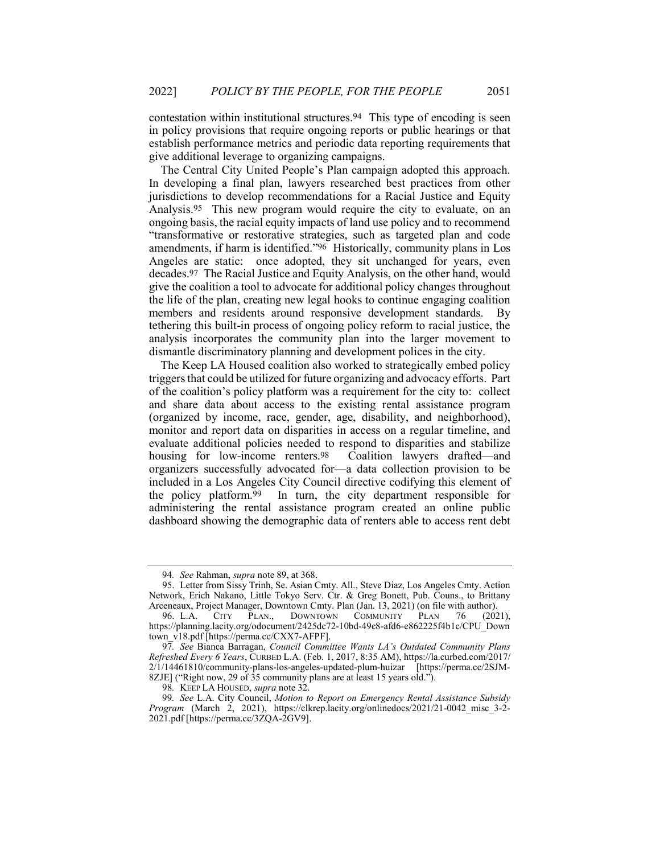contestation within institutional structures.94 This type of encoding is seen in policy provisions that require ongoing reports or public hearings or that establish performance metrics and periodic data reporting requirements that give additional leverage to organizing campaigns.

The Central City United People's Plan campaign adopted this approach. In developing a final plan, lawyers researched best practices from other jurisdictions to develop recommendations for a Racial Justice and Equity Analysis.95 This new program would require the city to evaluate, on an ongoing basis, the racial equity impacts of land use policy and to recommend "transformative or restorative strategies, such as targeted plan and code amendments, if harm is identified."96 Historically, community plans in Los Angeles are static: once adopted, they sit unchanged for years, even decades.97 The Racial Justice and Equity Analysis, on the other hand, would give the coalition a tool to advocate for additional policy changes throughout the life of the plan, creating new legal hooks to continue engaging coalition members and residents around responsive development standards. By tethering this built-in process of ongoing policy reform to racial justice, the analysis incorporates the community plan into the larger movement to dismantle discriminatory planning and development polices in the city.

The Keep LA Housed coalition also worked to strategically embed policy triggers that could be utilized for future organizing and advocacy efforts. Part of the coalition's policy platform was a requirement for the city to: collect and share data about access to the existing rental assistance program (organized by income, race, gender, age, disability, and neighborhood), monitor and report data on disparities in access on a regular timeline, and evaluate additional policies needed to respond to disparities and stabilize housing for low-income renters.98 Coalition lawyers drafted—and organizers successfully advocated for—a data collection provision to be included in a Los Angeles City Council directive codifying this element of the policy platform.99 In turn, the city department responsible for administering the rental assistance program created an online public dashboard showing the demographic data of renters able to access rent debt

<sup>94.</sup> See Rahman, supra note 89, at 368.

 <sup>95.</sup> Letter from Sissy Trinh, Se. Asian Cmty. All., Steve Diaz, Los Angeles Cmty. Action Network, Erich Nakano, Little Tokyo Serv. Ctr. & Greg Bonett, Pub. Couns., to Brittany Arceneaux, Project Manager, Downtown Cmty. Plan (Jan. 13, 2021) (on file with author).<br>
96. L.A. CITY PLAN., DOWNTOWN COMMUNITY PLAN 76 (2021).

DOWNTOWN COMMUNITY PLAN 76 https://planning.lacity.org/odocument/2425dc72-10bd-49c8-afd6-e862225f4b1c/CPU\_Down town\_v18.pdf [https://perma.cc/CXX7-AFPF].

<sup>97</sup>. See Bianca Barragan, Council Committee Wants LA's Outdated Community Plans Refreshed Every 6 Years, CURBED L.A. (Feb. 1, 2017, 8:35 AM), https://la.curbed.com/2017/ 2/1/14461810/community-plans-los-angeles-updated-plum-huizar [https://perma.cc/2SJM-8ZJE] ("Right now, 29 of 35 community plans are at least 15 years old.").

<sup>98.</sup> KEEP LA HOUSED, supra note 32.

<sup>99</sup>. See L.A. City Council, Motion to Report on Emergency Rental Assistance Subsidy Program (March 2, 2021), https://clkrep.lacity.org/onlinedocs/2021/21-0042\_misc\_3-2- 2021.pdf [https://perma.cc/3ZQA-2GV9].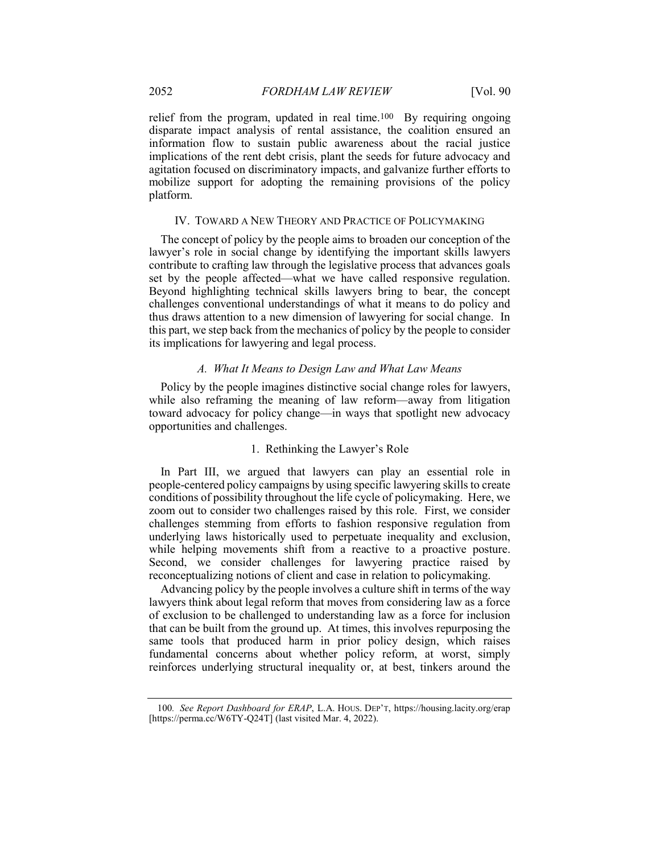relief from the program, updated in real time.100 By requiring ongoing disparate impact analysis of rental assistance, the coalition ensured an information flow to sustain public awareness about the racial justice implications of the rent debt crisis, plant the seeds for future advocacy and agitation focused on discriminatory impacts, and galvanize further efforts to mobilize support for adopting the remaining provisions of the policy platform.

#### IV. TOWARD A NEW THEORY AND PRACTICE OF POLICYMAKING

The concept of policy by the people aims to broaden our conception of the lawyer's role in social change by identifying the important skills lawyers contribute to crafting law through the legislative process that advances goals set by the people affected—what we have called responsive regulation. Beyond highlighting technical skills lawyers bring to bear, the concept challenges conventional understandings of what it means to do policy and thus draws attention to a new dimension of lawyering for social change. In this part, we step back from the mechanics of policy by the people to consider its implications for lawyering and legal process.

#### A. What It Means to Design Law and What Law Means

Policy by the people imagines distinctive social change roles for lawyers, while also reframing the meaning of law reform—away from litigation toward advocacy for policy change—in ways that spotlight new advocacy opportunities and challenges.

#### 1. Rethinking the Lawyer's Role

In Part III, we argued that lawyers can play an essential role in people-centered policy campaigns by using specific lawyering skills to create conditions of possibility throughout the life cycle of policymaking. Here, we zoom out to consider two challenges raised by this role. First, we consider challenges stemming from efforts to fashion responsive regulation from underlying laws historically used to perpetuate inequality and exclusion, while helping movements shift from a reactive to a proactive posture. Second, we consider challenges for lawyering practice raised by reconceptualizing notions of client and case in relation to policymaking.

Advancing policy by the people involves a culture shift in terms of the way lawyers think about legal reform that moves from considering law as a force of exclusion to be challenged to understanding law as a force for inclusion that can be built from the ground up. At times, this involves repurposing the same tools that produced harm in prior policy design, which raises fundamental concerns about whether policy reform, at worst, simply reinforces underlying structural inequality or, at best, tinkers around the

<sup>100</sup>. See Report Dashboard for ERAP, L.A. HOUS. DEP'T, https://housing.lacity.org/erap [https://perma.cc/W6TY-Q24T] (last visited Mar. 4, 2022).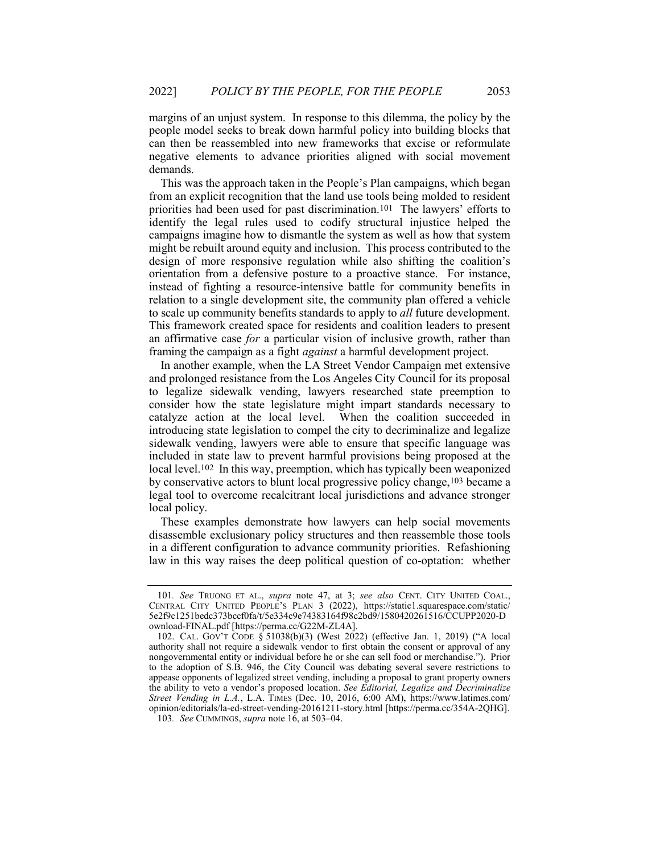margins of an unjust system. In response to this dilemma, the policy by the people model seeks to break down harmful policy into building blocks that can then be reassembled into new frameworks that excise or reformulate negative elements to advance priorities aligned with social movement demands.

This was the approach taken in the People's Plan campaigns, which began from an explicit recognition that the land use tools being molded to resident priorities had been used for past discrimination.101 The lawyers' efforts to identify the legal rules used to codify structural injustice helped the campaigns imagine how to dismantle the system as well as how that system might be rebuilt around equity and inclusion. This process contributed to the design of more responsive regulation while also shifting the coalition's orientation from a defensive posture to a proactive stance. For instance, instead of fighting a resource-intensive battle for community benefits in relation to a single development site, the community plan offered a vehicle to scale up community benefits standards to apply to all future development. This framework created space for residents and coalition leaders to present an affirmative case for a particular vision of inclusive growth, rather than framing the campaign as a fight *against* a harmful development project.

In another example, when the LA Street Vendor Campaign met extensive and prolonged resistance from the Los Angeles City Council for its proposal to legalize sidewalk vending, lawyers researched state preemption to consider how the state legislature might impart standards necessary to catalyze action at the local level. When the coalition succeeded in introducing state legislation to compel the city to decriminalize and legalize sidewalk vending, lawyers were able to ensure that specific language was included in state law to prevent harmful provisions being proposed at the local level.<sup>102</sup> In this way, preemption, which has typically been weaponized by conservative actors to blunt local progressive policy change,103 became a legal tool to overcome recalcitrant local jurisdictions and advance stronger local policy.

These examples demonstrate how lawyers can help social movements disassemble exclusionary policy structures and then reassemble those tools in a different configuration to advance community priorities. Refashioning law in this way raises the deep political question of co-optation: whether

<sup>101</sup>. See TRUONG ET AL., supra note 47, at 3; see also CENT. CITY UNITED COAL., CENTRAL CITY UNITED PEOPLE'S PLAN 3 (2022), https://static1.squarespace.com/static/ 5e2f9c1251bedc373bccf0fa/t/5e334c9e74383164f98c2bd9/1580420261516/CCUPP2020-D ownload-FINAL.pdf [https://perma.cc/G22M-ZL4A].

 <sup>102.</sup> CAL. GOV'T CODE § 51038(b)(3) (West 2022) (effective Jan. 1, 2019) ("A local authority shall not require a sidewalk vendor to first obtain the consent or approval of any nongovernmental entity or individual before he or she can sell food or merchandise."). Prior to the adoption of S.B. 946, the City Council was debating several severe restrictions to appease opponents of legalized street vending, including a proposal to grant property owners the ability to veto a vendor's proposed location. See Editorial, Legalize and Decriminalize Street Vending in L.A., L.A. TIMES (Dec. 10, 2016, 6:00 AM), https://www.latimes.com/ opinion/editorials/la-ed-street-vending-20161211-story.html [https://perma.cc/354A-2QHG]. 103. See CUMMINGS, supra note 16, at 503–04.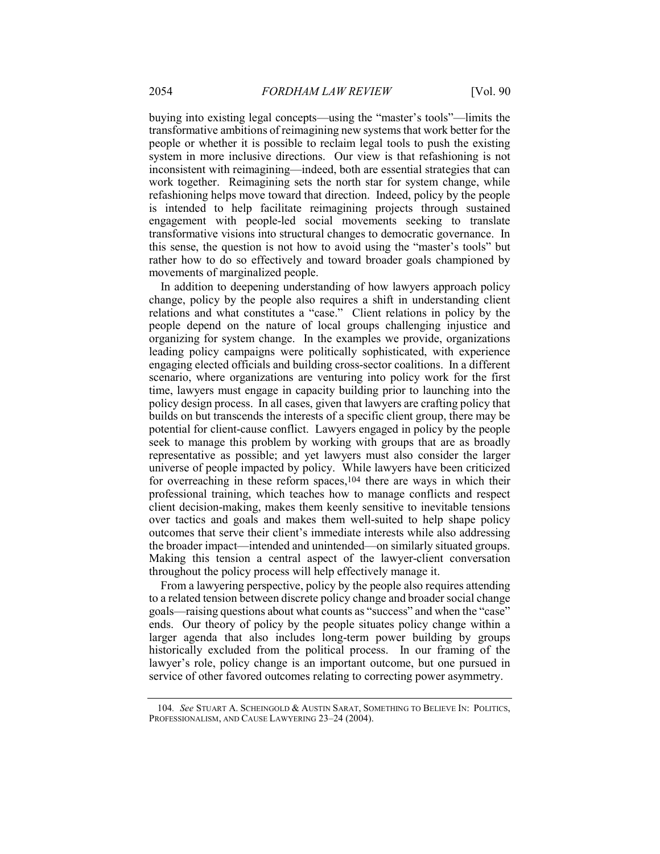buying into existing legal concepts—using the "master's tools"—limits the transformative ambitions of reimagining new systems that work better for the people or whether it is possible to reclaim legal tools to push the existing system in more inclusive directions. Our view is that refashioning is not inconsistent with reimagining—indeed, both are essential strategies that can work together. Reimagining sets the north star for system change, while refashioning helps move toward that direction. Indeed, policy by the people is intended to help facilitate reimagining projects through sustained engagement with people-led social movements seeking to translate transformative visions into structural changes to democratic governance. In this sense, the question is not how to avoid using the "master's tools" but rather how to do so effectively and toward broader goals championed by movements of marginalized people.

In addition to deepening understanding of how lawyers approach policy change, policy by the people also requires a shift in understanding client relations and what constitutes a "case." Client relations in policy by the people depend on the nature of local groups challenging injustice and organizing for system change. In the examples we provide, organizations leading policy campaigns were politically sophisticated, with experience engaging elected officials and building cross-sector coalitions. In a different scenario, where organizations are venturing into policy work for the first time, lawyers must engage in capacity building prior to launching into the policy design process. In all cases, given that lawyers are crafting policy that builds on but transcends the interests of a specific client group, there may be potential for client-cause conflict. Lawyers engaged in policy by the people seek to manage this problem by working with groups that are as broadly representative as possible; and yet lawyers must also consider the larger universe of people impacted by policy. While lawyers have been criticized for overreaching in these reform spaces,104 there are ways in which their professional training, which teaches how to manage conflicts and respect client decision-making, makes them keenly sensitive to inevitable tensions over tactics and goals and makes them well-suited to help shape policy outcomes that serve their client's immediate interests while also addressing the broader impact—intended and unintended—on similarly situated groups. Making this tension a central aspect of the lawyer-client conversation throughout the policy process will help effectively manage it.

From a lawyering perspective, policy by the people also requires attending to a related tension between discrete policy change and broader social change goals—raising questions about what counts as "success" and when the "case" ends. Our theory of policy by the people situates policy change within a larger agenda that also includes long-term power building by groups historically excluded from the political process. In our framing of the lawyer's role, policy change is an important outcome, but one pursued in service of other favored outcomes relating to correcting power asymmetry.

<sup>104.</sup> See STUART A. SCHEINGOLD & AUSTIN SARAT, SOMETHING TO BELIEVE IN: POLITICS, PROFESSIONALISM, AND CAUSE LAWYERING 23–24 (2004).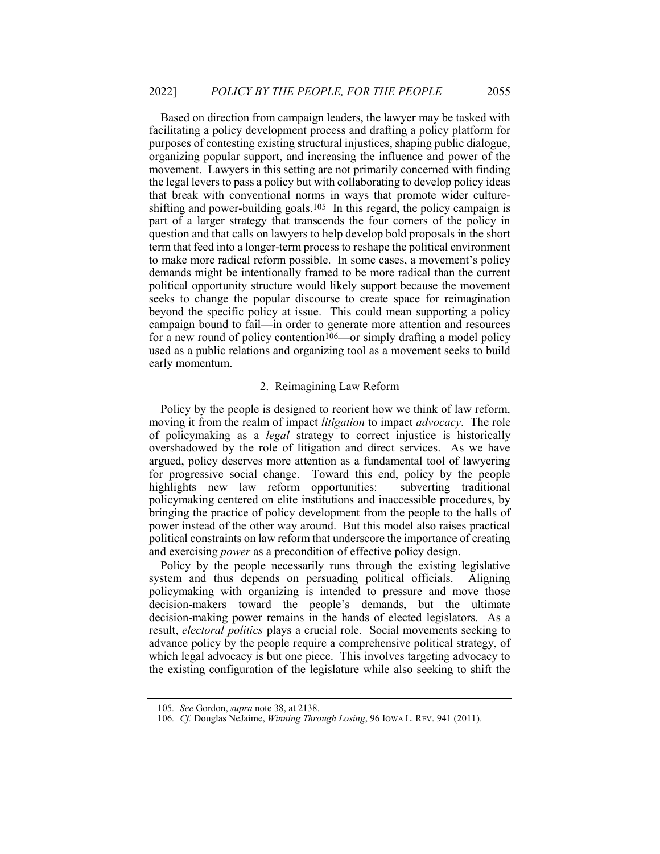Based on direction from campaign leaders, the lawyer may be tasked with facilitating a policy development process and drafting a policy platform for purposes of contesting existing structural injustices, shaping public dialogue, organizing popular support, and increasing the influence and power of the movement. Lawyers in this setting are not primarily concerned with finding the legal levers to pass a policy but with collaborating to develop policy ideas that break with conventional norms in ways that promote wider cultureshifting and power-building goals.<sup>105</sup> In this regard, the policy campaign is part of a larger strategy that transcends the four corners of the policy in question and that calls on lawyers to help develop bold proposals in the short term that feed into a longer-term process to reshape the political environment to make more radical reform possible. In some cases, a movement's policy demands might be intentionally framed to be more radical than the current political opportunity structure would likely support because the movement seeks to change the popular discourse to create space for reimagination beyond the specific policy at issue. This could mean supporting a policy campaign bound to fail—in order to generate more attention and resources for a new round of policy contention<sup>106</sup>—or simply drafting a model policy used as a public relations and organizing tool as a movement seeks to build early momentum.

#### 2. Reimagining Law Reform

Policy by the people is designed to reorient how we think of law reform, moving it from the realm of impact *litigation* to impact *advocacy*. The role of policymaking as a legal strategy to correct injustice is historically overshadowed by the role of litigation and direct services. As we have argued, policy deserves more attention as a fundamental tool of lawyering for progressive social change. Toward this end, policy by the people highlights new law reform opportunities: subverting traditional policymaking centered on elite institutions and inaccessible procedures, by bringing the practice of policy development from the people to the halls of power instead of the other way around. But this model also raises practical political constraints on law reform that underscore the importance of creating and exercising *power* as a precondition of effective policy design.

Policy by the people necessarily runs through the existing legislative system and thus depends on persuading political officials. Aligning policymaking with organizing is intended to pressure and move those decision-makers toward the people's demands, but the ultimate decision-making power remains in the hands of elected legislators. As a result, electoral politics plays a crucial role. Social movements seeking to advance policy by the people require a comprehensive political strategy, of which legal advocacy is but one piece. This involves targeting advocacy to the existing configuration of the legislature while also seeking to shift the

<sup>105.</sup> See Gordon, *supra* note 38, at 2138.

<sup>106.</sup> Cf. Douglas NeJaime, Winning Through Losing, 96 IOWA L. REV. 941 (2011).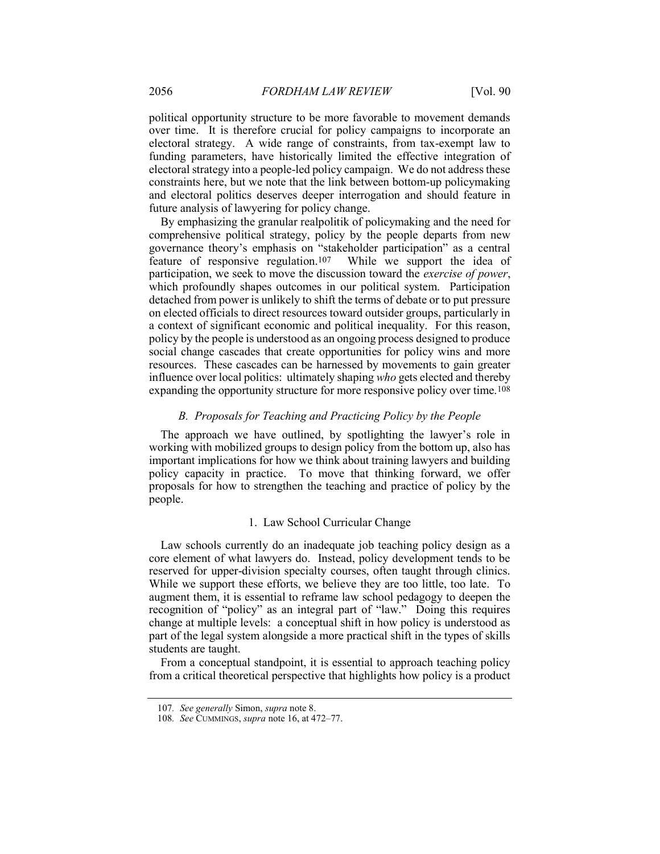political opportunity structure to be more favorable to movement demands over time. It is therefore crucial for policy campaigns to incorporate an electoral strategy. A wide range of constraints, from tax-exempt law to funding parameters, have historically limited the effective integration of electoral strategy into a people-led policy campaign. We do not address these constraints here, but we note that the link between bottom-up policymaking and electoral politics deserves deeper interrogation and should feature in future analysis of lawyering for policy change.

By emphasizing the granular realpolitik of policymaking and the need for comprehensive political strategy, policy by the people departs from new governance theory's emphasis on "stakeholder participation" as a central feature of responsive regulation.107 While we support the idea of participation, we seek to move the discussion toward the exercise of power, which profoundly shapes outcomes in our political system. Participation detached from power is unlikely to shift the terms of debate or to put pressure on elected officials to direct resources toward outsider groups, particularly in a context of significant economic and political inequality. For this reason, policy by the people is understood as an ongoing process designed to produce social change cascades that create opportunities for policy wins and more resources. These cascades can be harnessed by movements to gain greater influence over local politics: ultimately shaping who gets elected and thereby expanding the opportunity structure for more responsive policy over time.108

#### B. Proposals for Teaching and Practicing Policy by the People

The approach we have outlined, by spotlighting the lawyer's role in working with mobilized groups to design policy from the bottom up, also has important implications for how we think about training lawyers and building policy capacity in practice. To move that thinking forward, we offer proposals for how to strengthen the teaching and practice of policy by the people.

#### 1. Law School Curricular Change

Law schools currently do an inadequate job teaching policy design as a core element of what lawyers do. Instead, policy development tends to be reserved for upper-division specialty courses, often taught through clinics. While we support these efforts, we believe they are too little, too late. To augment them, it is essential to reframe law school pedagogy to deepen the recognition of "policy" as an integral part of "law." Doing this requires change at multiple levels: a conceptual shift in how policy is understood as part of the legal system alongside a more practical shift in the types of skills students are taught.

From a conceptual standpoint, it is essential to approach teaching policy from a critical theoretical perspective that highlights how policy is a product

<sup>107.</sup> See generally Simon, supra note 8.

<sup>108</sup>. See CUMMINGS, supra note 16, at 472–77.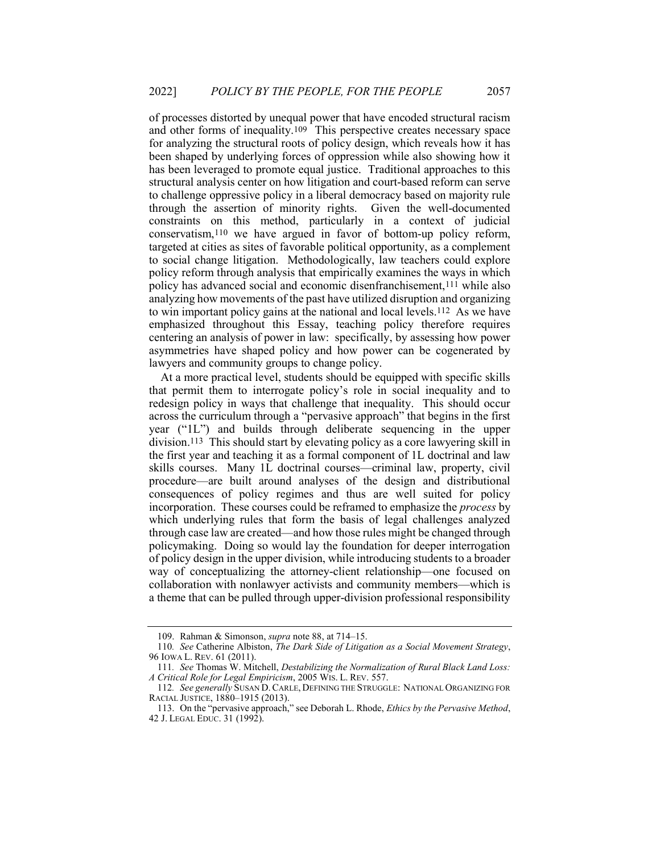of processes distorted by unequal power that have encoded structural racism and other forms of inequality.109 This perspective creates necessary space for analyzing the structural roots of policy design, which reveals how it has been shaped by underlying forces of oppression while also showing how it has been leveraged to promote equal justice. Traditional approaches to this structural analysis center on how litigation and court-based reform can serve to challenge oppressive policy in a liberal democracy based on majority rule through the assertion of minority rights. Given the well-documented constraints on this method, particularly in a context of judicial conservatism,110 we have argued in favor of bottom-up policy reform, targeted at cities as sites of favorable political opportunity, as a complement to social change litigation. Methodologically, law teachers could explore policy reform through analysis that empirically examines the ways in which policy has advanced social and economic disenfranchisement,111 while also analyzing how movements of the past have utilized disruption and organizing to win important policy gains at the national and local levels.112 As we have emphasized throughout this Essay, teaching policy therefore requires centering an analysis of power in law: specifically, by assessing how power asymmetries have shaped policy and how power can be cogenerated by lawyers and community groups to change policy.

At a more practical level, students should be equipped with specific skills that permit them to interrogate policy's role in social inequality and to redesign policy in ways that challenge that inequality. This should occur across the curriculum through a "pervasive approach" that begins in the first year ("1L") and builds through deliberate sequencing in the upper division.113 This should start by elevating policy as a core lawyering skill in the first year and teaching it as a formal component of 1L doctrinal and law skills courses. Many 1L doctrinal courses—criminal law, property, civil procedure—are built around analyses of the design and distributional consequences of policy regimes and thus are well suited for policy incorporation. These courses could be reframed to emphasize the *process* by which underlying rules that form the basis of legal challenges analyzed through case law are created—and how those rules might be changed through policymaking. Doing so would lay the foundation for deeper interrogation of policy design in the upper division, while introducing students to a broader way of conceptualizing the attorney-client relationship—one focused on collaboration with nonlawyer activists and community members—which is a theme that can be pulled through upper-division professional responsibility

 <sup>109.</sup> Rahman & Simonson, supra note 88, at 714–15.

<sup>110.</sup> See Catherine Albiston, The Dark Side of Litigation as a Social Movement Strategy, 96 IOWA L. REV. 61 (2011).

<sup>111</sup>. See Thomas W. Mitchell, Destabilizing the Normalization of Rural Black Land Loss: A Critical Role for Legal Empiricism, 2005 WIS. L. REV. 557.

<sup>112.</sup> See generally SUSAN D. CARLE, DEFINING THE STRUGGLE: NATIONAL ORGANIZING FOR RACIAL JUSTICE, 1880–1915 (2013).

<sup>113.</sup> On the "pervasive approach," see Deborah L. Rhode, *Ethics by the Pervasive Method*, 42 J. LEGAL EDUC. 31 (1992).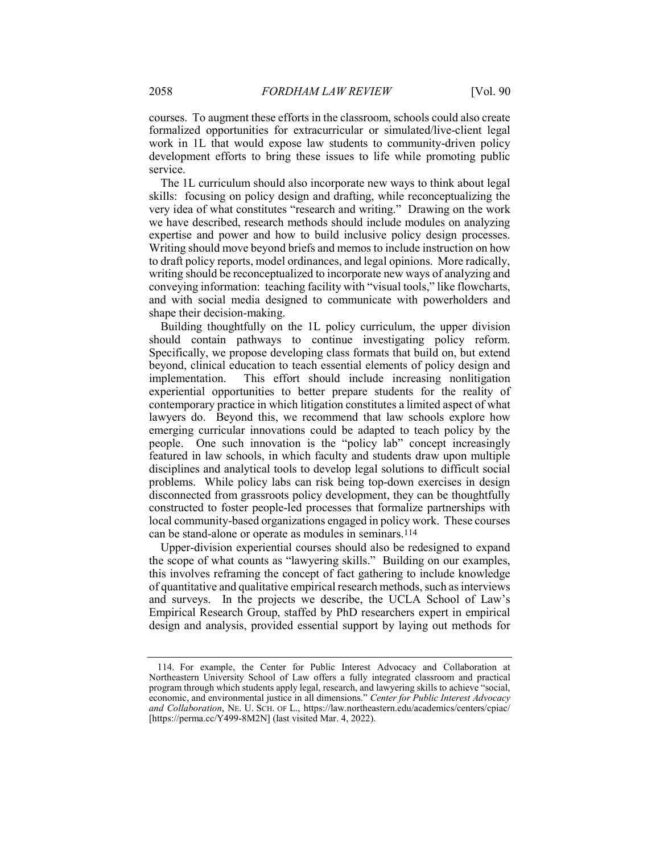courses. To augment these efforts in the classroom, schools could also create formalized opportunities for extracurricular or simulated/live-client legal work in 1L that would expose law students to community-driven policy development efforts to bring these issues to life while promoting public service.

The 1L curriculum should also incorporate new ways to think about legal skills: focusing on policy design and drafting, while reconceptualizing the very idea of what constitutes "research and writing." Drawing on the work we have described, research methods should include modules on analyzing expertise and power and how to build inclusive policy design processes. Writing should move beyond briefs and memos to include instruction on how to draft policy reports, model ordinances, and legal opinions. More radically, writing should be reconceptualized to incorporate new ways of analyzing and conveying information: teaching facility with "visual tools," like flowcharts, and with social media designed to communicate with powerholders and shape their decision-making.

Building thoughtfully on the 1L policy curriculum, the upper division should contain pathways to continue investigating policy reform. Specifically, we propose developing class formats that build on, but extend beyond, clinical education to teach essential elements of policy design and implementation. This effort should include increasing nonlitigation experiential opportunities to better prepare students for the reality of contemporary practice in which litigation constitutes a limited aspect of what lawyers do. Beyond this, we recommend that law schools explore how emerging curricular innovations could be adapted to teach policy by the people. One such innovation is the "policy lab" concept increasingly featured in law schools, in which faculty and students draw upon multiple disciplines and analytical tools to develop legal solutions to difficult social problems. While policy labs can risk being top-down exercises in design disconnected from grassroots policy development, they can be thoughtfully constructed to foster people-led processes that formalize partnerships with local community-based organizations engaged in policy work. These courses can be stand-alone or operate as modules in seminars.114

Upper-division experiential courses should also be redesigned to expand the scope of what counts as "lawyering skills." Building on our examples, this involves reframing the concept of fact gathering to include knowledge of quantitative and qualitative empirical research methods, such as interviews and surveys. In the projects we describe, the UCLA School of Law's Empirical Research Group, staffed by PhD researchers expert in empirical design and analysis, provided essential support by laying out methods for

 <sup>114.</sup> For example, the Center for Public Interest Advocacy and Collaboration at Northeastern University School of Law offers a fully integrated classroom and practical program through which students apply legal, research, and lawyering skills to achieve "social, economic, and environmental justice in all dimensions." Center for Public Interest Advocacy and Collaboration, NE. U. SCH. OF L., https://law.northeastern.edu/academics/centers/cpiac/ [https://perma.cc/Y499-8M2N] (last visited Mar. 4, 2022).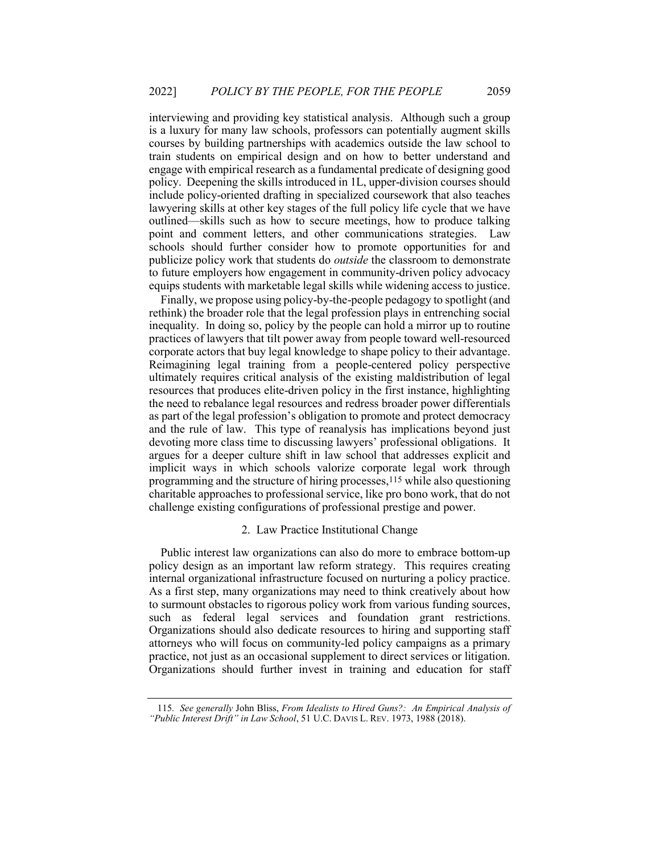interviewing and providing key statistical analysis. Although such a group is a luxury for many law schools, professors can potentially augment skills courses by building partnerships with academics outside the law school to train students on empirical design and on how to better understand and engage with empirical research as a fundamental predicate of designing good policy. Deepening the skills introduced in 1L, upper-division courses should include policy-oriented drafting in specialized coursework that also teaches lawyering skills at other key stages of the full policy life cycle that we have outlined—skills such as how to secure meetings, how to produce talking point and comment letters, and other communications strategies. Law schools should further consider how to promote opportunities for and publicize policy work that students do *outside* the classroom to demonstrate to future employers how engagement in community-driven policy advocacy equips students with marketable legal skills while widening access to justice.

Finally, we propose using policy-by-the-people pedagogy to spotlight (and rethink) the broader role that the legal profession plays in entrenching social inequality. In doing so, policy by the people can hold a mirror up to routine practices of lawyers that tilt power away from people toward well-resourced corporate actors that buy legal knowledge to shape policy to their advantage. Reimagining legal training from a people-centered policy perspective ultimately requires critical analysis of the existing maldistribution of legal resources that produces elite-driven policy in the first instance, highlighting the need to rebalance legal resources and redress broader power differentials as part of the legal profession's obligation to promote and protect democracy and the rule of law. This type of reanalysis has implications beyond just devoting more class time to discussing lawyers' professional obligations. It argues for a deeper culture shift in law school that addresses explicit and implicit ways in which schools valorize corporate legal work through programming and the structure of hiring processes,115 while also questioning charitable approaches to professional service, like pro bono work, that do not challenge existing configurations of professional prestige and power.

#### 2. Law Practice Institutional Change

Public interest law organizations can also do more to embrace bottom-up policy design as an important law reform strategy. This requires creating internal organizational infrastructure focused on nurturing a policy practice. As a first step, many organizations may need to think creatively about how to surmount obstacles to rigorous policy work from various funding sources, such as federal legal services and foundation grant restrictions. Organizations should also dedicate resources to hiring and supporting staff attorneys who will focus on community-led policy campaigns as a primary practice, not just as an occasional supplement to direct services or litigation. Organizations should further invest in training and education for staff

<sup>115</sup>. See generally John Bliss, From Idealists to Hired Guns?: An Empirical Analysis of "Public Interest Drift" in Law School, 51 U.C. DAVIS L. REV. 1973, 1988 (2018).